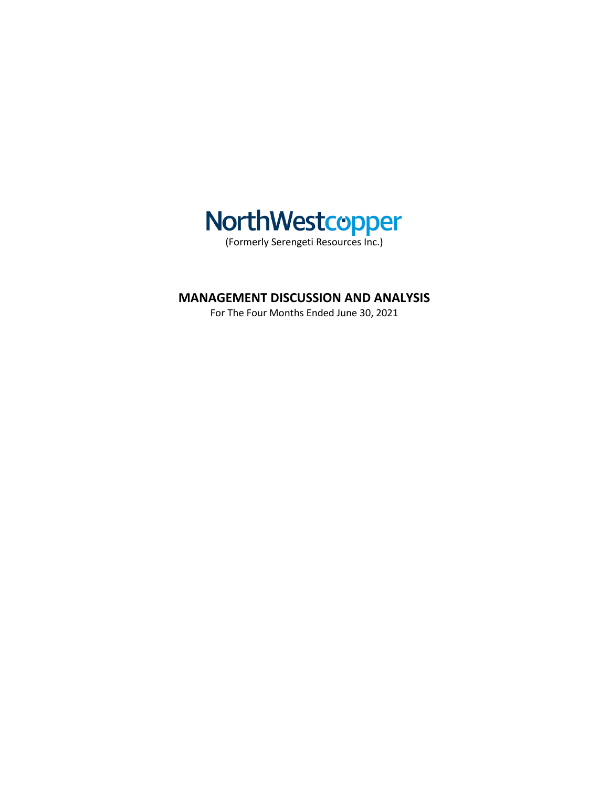

# **MANAGEMENT DISCUSSION AND ANALYSIS**

For The Four Months Ended June 30, 2021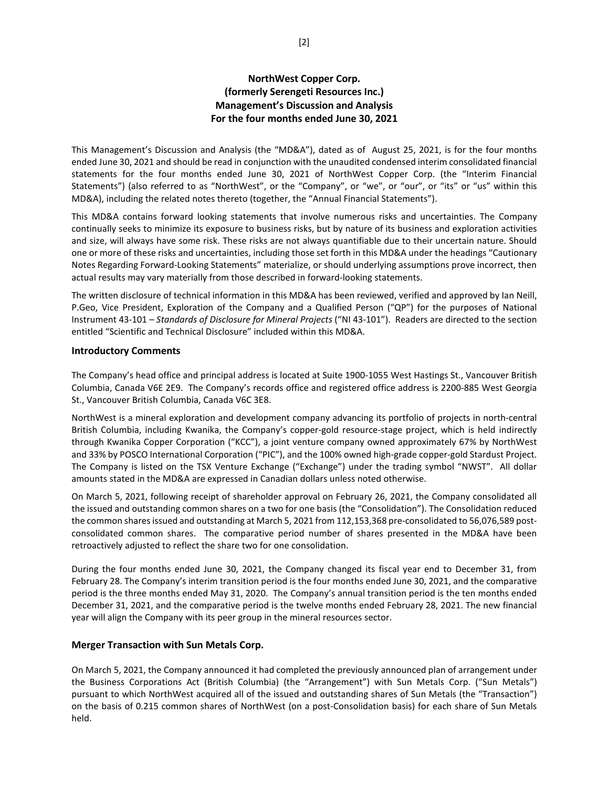## **NorthWest Copper Corp. (formerly Serengeti Resources Inc.) Management's Discussion and Analysis For the four months ended June 30, 2021**

This Management's Discussion and Analysis (the "MD&A"), dated as of August 25, 2021, is for the four months ended June 30, 2021 and should be read in conjunction with the unaudited condensed interim consolidated financial statements for the four months ended June 30, 2021 of NorthWest Copper Corp. (the "Interim Financial Statements") (also referred to as "NorthWest", or the "Company", or "we", or "our", or "its" or "us" within this MD&A), including the related notes thereto (together, the "Annual Financial Statements").

This MD&A contains forward looking statements that involve numerous risks and uncertainties. The Company continually seeks to minimize its exposure to business risks, but by nature of its business and exploration activities and size, will always have some risk. These risks are not always quantifiable due to their uncertain nature. Should one or more of these risks and uncertainties, including those set forth in this MD&A under the headings "Cautionary Notes Regarding Forward-Looking Statements" materialize, or should underlying assumptions prove incorrect, then actual results may vary materially from those described in forward-looking statements.

The written disclosure of technical information in this MD&A has been reviewed, verified and approved by Ian Neill, P.Geo, Vice President, Exploration of the Company and a Qualified Person ("QP") for the purposes of National Instrument 43-101 – *Standards of Disclosure for Mineral Projects* ("NI 43-101"). Readers are directed to the section entitled "Scientific and Technical Disclosure" included within this MD&A.

## **Introductory Comments**

The Company's head office and principal address is located at Suite 1900-1055 West Hastings St., Vancouver British Columbia, Canada V6E 2E9. The Company's records office and registered office address is 2200-885 West Georgia St., Vancouver British Columbia, Canada V6C 3E8.

NorthWest is a mineral exploration and development company advancing its portfolio of projects in north-central British Columbia, including Kwanika, the Company's copper-gold resource-stage project, which is held indirectly through Kwanika Copper Corporation ("KCC"), a joint venture company owned approximately 67% by NorthWest and 33% by POSCO International Corporation ("PIC"), and the 100% owned high-grade copper-gold Stardust Project. The Company is listed on the TSX Venture Exchange ("Exchange") under the trading symbol "NWST". All dollar amounts stated in the MD&A are expressed in Canadian dollars unless noted otherwise.

On March 5, 2021, following receipt of shareholder approval on February 26, 2021, the Company consolidated all the issued and outstanding common shares on a two for one basis (the "Consolidation"). The Consolidation reduced the common shares issued and outstanding at March 5, 2021 from 112,153,368 pre-consolidated to 56,076,589 postconsolidated common shares. The comparative period number of shares presented in the MD&A have been retroactively adjusted to reflect the share two for one consolidation.

During the four months ended June 30, 2021, the Company changed its fiscal year end to December 31, from February 28. The Company's interim transition period is the four months ended June 30, 2021, and the comparative period is the three months ended May 31, 2020. The Company's annual transition period is the ten months ended December 31, 2021, and the comparative period is the twelve months ended February 28, 2021. The new financial year will align the Company with its peer group in the mineral resources sector.

## **Merger Transaction with Sun Metals Corp.**

On March 5, 2021, the Company announced it had completed the previously announced plan of arrangement under the Business Corporations Act (British Columbia) (the "Arrangement") with Sun Metals Corp. ("Sun Metals") pursuant to which NorthWest acquired all of the issued and outstanding shares of Sun Metals (the "Transaction") on the basis of 0.215 common shares of NorthWest (on a post-Consolidation basis) for each share of Sun Metals held.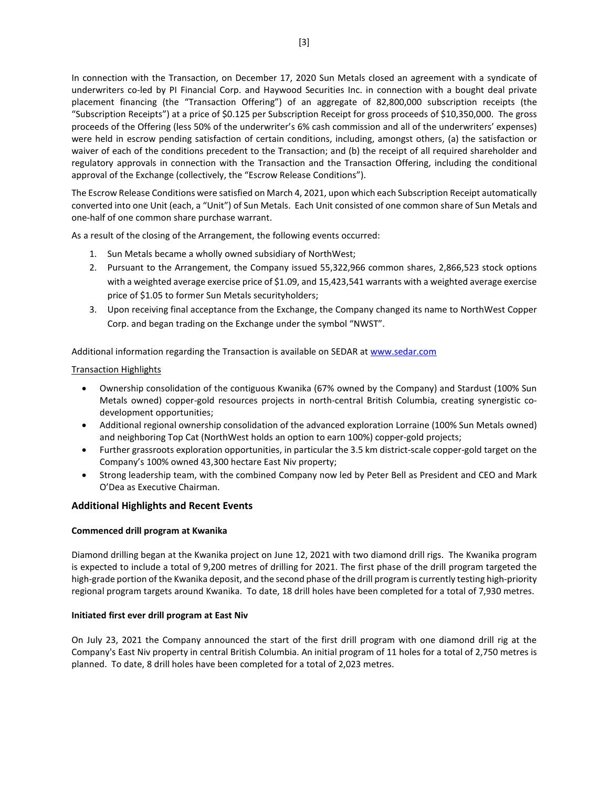In connection with the Transaction, on December 17, 2020 Sun Metals closed an agreement with a syndicate of underwriters co-led by PI Financial Corp. and Haywood Securities Inc. in connection with a bought deal private placement financing (the "Transaction Offering") of an aggregate of 82,800,000 subscription receipts (the "Subscription Receipts") at a price of \$0.125 per Subscription Receipt for gross proceeds of \$10,350,000. The gross proceeds of the Offering (less 50% of the underwriter's 6% cash commission and all of the underwriters' expenses) were held in escrow pending satisfaction of certain conditions, including, amongst others, (a) the satisfaction or waiver of each of the conditions precedent to the Transaction; and (b) the receipt of all required shareholder and regulatory approvals in connection with the Transaction and the Transaction Offering, including the conditional approval of the Exchange (collectively, the "Escrow Release Conditions").

The Escrow Release Conditions were satisfied on March 4, 2021, upon which each Subscription Receipt automatically converted into one Unit (each, a "Unit") of Sun Metals. Each Unit consisted of one common share of Sun Metals and one-half of one common share purchase warrant.

As a result of the closing of the Arrangement, the following events occurred:

- 1. Sun Metals became a wholly owned subsidiary of NorthWest;
- 2. Pursuant to the Arrangement, the Company issued 55,322,966 common shares, 2,866,523 stock options with a weighted average exercise price of \$1.09, and 15,423,541 warrants with a weighted average exercise price of \$1.05 to former Sun Metals securityholders;
- 3. Upon receiving final acceptance from the Exchange, the Company changed its name to NorthWest Copper Corp. and began trading on the Exchange under the symbol "NWST".

Additional information regarding the Transaction is available on SEDAR a[t www.sedar.com](http://www.sedar.com/)

Transaction Highlights

- Ownership consolidation of the contiguous Kwanika (67% owned by the Company) and Stardust (100% Sun Metals owned) copper-gold resources projects in north-central British Columbia, creating synergistic codevelopment opportunities;
- Additional regional ownership consolidation of the advanced exploration Lorraine (100% Sun Metals owned) and neighboring Top Cat (NorthWest holds an option to earn 100%) copper-gold projects;
- Further grassroots exploration opportunities, in particular the 3.5 km district-scale copper-gold target on the Company's 100% owned 43,300 hectare East Niv property;
- Strong leadership team, with the combined Company now led by Peter Bell as President and CEO and Mark O'Dea as Executive Chairman.

## **Additional Highlights and Recent Events**

#### **Commenced drill program at Kwanika**

Diamond drilling began at the Kwanika project on June 12, 2021 with two diamond drill rigs. The Kwanika program is expected to include a total of 9,200 metres of drilling for 2021. The first phase of the drill program targeted the high-grade portion of the Kwanika deposit, and the second phase of the drill program is currently testing high-priority regional program targets around Kwanika. To date, 18 drill holes have been completed for a total of 7,930 metres.

#### **Initiated first ever drill program at East Niv**

On July 23, 2021 the Company announced the start of the first drill program with one diamond drill rig at the Company's East Niv property in central British Columbia. An initial program of 11 holes for a total of 2,750 metres is planned. To date, 8 drill holes have been completed for a total of 2,023 metres.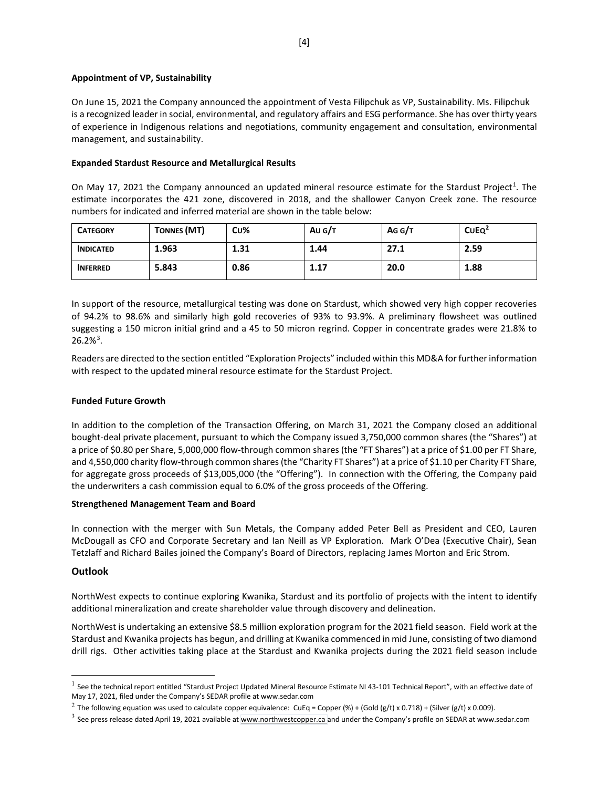### **Appointment of VP, Sustainability**

On June 15, 2021 the Company announced the appointment of Vesta Filipchuk as VP, Sustainability. Ms. Filipchuk is a recognized leader in social, environmental, and regulatory affairs and ESG performance. She has over thirty years of experience in Indigenous relations and negotiations, community engagement and consultation, environmental management, and sustainability.

### **Expanded Stardust Resource and Metallurgical Results**

On May [1](#page-3-0)7, 2021 the Company announced an updated mineral resource estimate for the Stardust Project<sup>1</sup>. The estimate incorporates the 421 zone, discovered in 2018, and the shallower Canyon Creek zone. The resource numbers for indicated and inferred material are shown in the table below:

| <b>CATEGORY</b>  | <b>TONNES (MT)</b> | Cu%  | Au G/T | AG G/T | CUEQ <sup>2</sup> |
|------------------|--------------------|------|--------|--------|-------------------|
| <b>INDICATED</b> | 1.963              | 1.31 | 1.44   | 27.1   | 2.59              |
| <b>INFERRED</b>  | 5.843              | 0.86 | 1.17   | 20.0   | 1.88              |

In support of the resource, metallurgical testing was done on Stardust, which showed very high copper recoveries of 94.2% to 98.6% and similarly high gold recoveries of 93% to 93.9%. A preliminary flowsheet was outlined suggesting a 150 micron initial grind and a 45 to 50 micron regrind. Copper in concentrate grades were 21.8% to  $26.2\%$ <sup>[3](#page-3-2)</sup>.

Readers are directed to the section entitled "Exploration Projects" included within this MD&A for further information with respect to the updated mineral resource estimate for the Stardust Project.

## **Funded Future Growth**

In addition to the completion of the Transaction Offering, on March 31, 2021 the Company closed an additional bought-deal private placement, pursuant to which the Company issued 3,750,000 common shares (the "Shares") at a price of \$0.80 per Share, 5,000,000 flow-through common shares (the "FT Shares") at a price of \$1.00 per FT Share, and 4,550,000 charity flow-through common shares (the "Charity FT Shares") at a price of \$1.10 per Charity FT Share, for aggregate gross proceeds of \$13,005,000 (the "Offering"). In connection with the Offering, the Company paid the underwriters a cash commission equal to 6.0% of the gross proceeds of the Offering.

#### **Strengthened Management Team and Board**

In connection with the merger with Sun Metals, the Company added Peter Bell as President and CEO, Lauren McDougall as CFO and Corporate Secretary and Ian Neill as VP Exploration. Mark O'Dea (Executive Chair), Sean Tetzlaff and Richard Bailes joined the Company's Board of Directors, replacing James Morton and Eric Strom.

## **Outlook**

NorthWest expects to continue exploring Kwanika, Stardust and its portfolio of projects with the intent to identify additional mineralization and create shareholder value through discovery and delineation.

NorthWest is undertaking an extensive \$8.5 million exploration program for the 2021 field season. Field work at the Stardust and Kwanika projects has begun, and drilling at Kwanika commenced in mid June, consisting of two diamond drill rigs. Other activities taking place at the Stardust and Kwanika projects during the 2021 field season include

<span id="page-3-0"></span> $<sup>1</sup>$  See the technical report entitled "Stardust Project Updated Mineral Resource Estimate NI 43-101 Technical Report", with an effective date of</sup> May 17, 2021, filed under the Company's SEDAR profile a[t www.sedar.com](http://www.sedar.com/)

<span id="page-3-1"></span><sup>&</sup>lt;sup>2</sup> The following equation was used to calculate copper equivalence: CuEq = Copper (%) + (Gold (g/t) x 0.718) + (Silver (g/t) x 0.009).

<span id="page-3-2"></span> $3$  See press release dated April 19, 2021 available at [www.northwestcopper.ca](http://www.northwestcopper.ca/) and under the Company's profile on SEDAR at www.sedar.com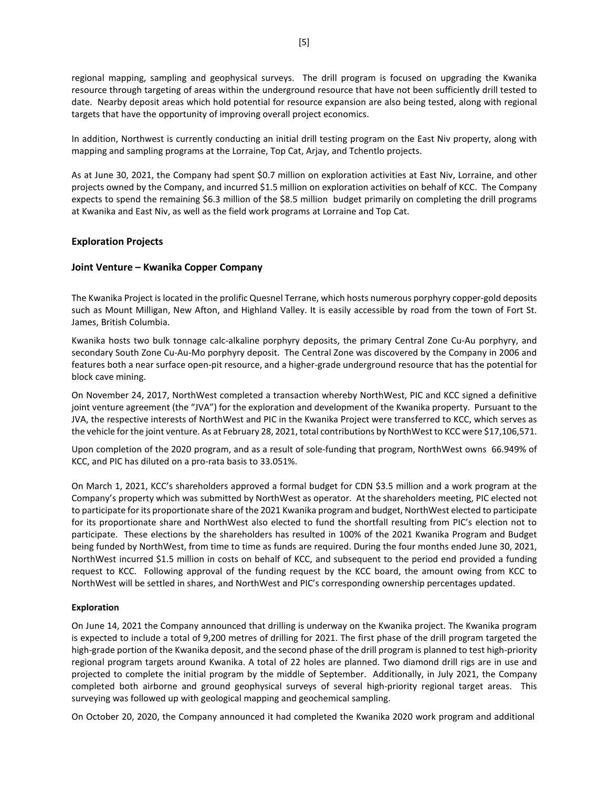regional mapping, sampling and geophysical surveys. The drill program is focused on upgrading the Kwanika resource through targeting of areas within the underground resource that have not been sufficiently drill tested to date. Nearby deposit areas which hold potential for resource expansion are also being tested, along with regional targets that have the opportunity of improving overall project economics.

In addition, Northwest is currently conducting an initial drill testing program on the East Niv property, along with mapping and sampling programs at the Lorraine, Top Cat, Arjay, and Tchentlo projects.

As at June 30, 2021, the Company had spent \$0.7 million on exploration activities at East Niv, Lorraine, and other projects owned by the Company, and incurred \$1.5 million on exploration activities on behalf of KCC. The Company expects to spend the remaining \$6.3 million of the \$8.5 million budget primarily on completing the drill programs at Kwanika and East Niv, as well as the field work programs at Lorraine and Top Cat.

## **Exploration Projects**

## **Joint Venture – Kwanika Copper Company**

The Kwanika Project is located in the prolific Quesnel Terrane, which hosts numerous porphyry copper-gold deposits such as Mount Milligan, New Afton, and Highland Valley. It is easily accessible by road from the town of Fort St. James, British Columbia.

Kwanika hosts two bulk tonnage calc-alkaline porphyry deposits, the primary Central Zone Cu-Au porphyry, and secondary South Zone Cu-Au-Mo porphyry deposit. The Central Zone was discovered by the Company in 2006 and features both a near surface open-pit resource, and a higher-grade underground resource that has the potential for block cave mining.

On November 24, 2017, NorthWest completed a transaction whereby NorthWest, PIC and KCC signed a definitive joint venture agreement (the "JVA") for the exploration and development of the Kwanika property. Pursuant to the JVA, the respective interests of NorthWest and PIC in the Kwanika Project were transferred to KCC, which serves as the vehicle for the joint venture. As at February 28, 2021, total contributions by NorthWest to KCC were \$17,106,571.

Upon completion of the 2020 program, and as a result of sole-funding that program, NorthWest owns 66.949% of KCC, and PIC has diluted on a pro-rata basis to 33.051%.

On March 1, 2021, KCC's shareholders approved a formal budget for CDN \$3.5 million and a work program at the Company's property which was submitted by NorthWest as operator. At the shareholders meeting, PIC elected not to participate for its proportionate share of the 2021 Kwanika program and budget, NorthWest elected to participate for its proportionate share and NorthWest also elected to fund the shortfall resulting from PIC's election not to participate. These elections by the shareholders has resulted in 100% of the 2021 Kwanika Program and Budget being funded by NorthWest, from time to time as funds are required. During the four months ended June 30, 2021, NorthWest incurred \$1.5 million in costs on behalf of KCC, and subsequent to the period end provided a funding request to KCC. Following approval of the funding request by the KCC board, the amount owing from KCC to NorthWest will be settled in shares, and NorthWest and PIC's corresponding ownership percentages updated.

#### **Exploration**

On June 14, 2021 the Company announced that drilling is underway on the Kwanika project. The Kwanika program is expected to include a total of 9,200 metres of drilling for 2021. The first phase of the drill program targeted the high-grade portion of the Kwanika deposit, and the second phase of the drill program is planned to test high-priority regional program targets around Kwanika. A total of 22 holes are planned. Two diamond drill rigs are in use and projected to complete the initial program by the middle of September. Additionally, in July 2021, the Company completed both airborne and ground geophysical surveys of several high-priority regional target areas. This surveying was followed up with geological mapping and geochemical sampling.

On October 20, 2020, the Company announced it had completed the Kwanika 2020 work program and additional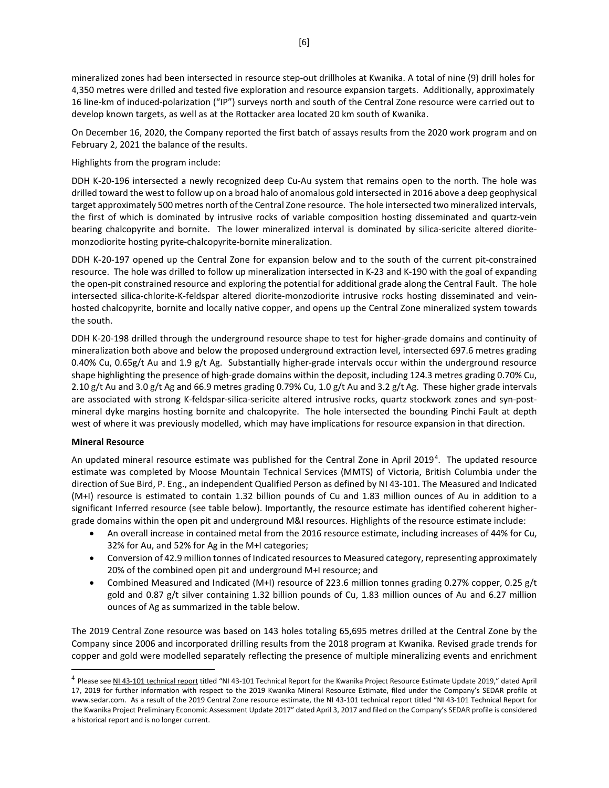mineralized zones had been intersected in resource step-out drillholes at Kwanika. A total of nine (9) drill holes for 4,350 metres were drilled and tested five exploration and resource expansion targets. Additionally, approximately 16 line-km of induced-polarization ("IP") surveys north and south of the Central Zone resource were carried out to develop known targets, as well as at the Rottacker area located 20 km south of Kwanika.

On December 16, 2020, the Company reported the first batch of assays results from the 2020 work program and on February 2, 2021 the balance of the results.

Highlights from the program include:

DDH K-20-196 intersected a newly recognized deep Cu-Au system that remains open to the north. The hole was drilled toward the west to follow up on a broad halo of anomalous gold intersected in 2016 above a deep geophysical target approximately 500 metres north of the Central Zone resource. The hole intersected two mineralized intervals, the first of which is dominated by intrusive rocks of variable composition hosting disseminated and quartz-vein bearing chalcopyrite and bornite. The lower mineralized interval is dominated by silica-sericite altered dioritemonzodiorite hosting pyrite-chalcopyrite-bornite mineralization.

DDH K-20-197 opened up the Central Zone for expansion below and to the south of the current pit-constrained resource. The hole was drilled to follow up mineralization intersected in K-23 and K-190 with the goal of expanding the open-pit constrained resource and exploring the potential for additional grade along the Central Fault. The hole intersected silica-chlorite-K-feldspar altered diorite-monzodiorite intrusive rocks hosting disseminated and veinhosted chalcopyrite, bornite and locally native copper, and opens up the Central Zone mineralized system towards the south.

DDH K-20-198 drilled through the underground resource shape to test for higher-grade domains and continuity of mineralization both above and below the proposed underground extraction level, intersected 697.6 metres grading 0.40% Cu, 0.65g/t Au and 1.9 g/t Ag. Substantially higher-grade intervals occur within the underground resource shape highlighting the presence of high-grade domains within the deposit, including 124.3 metres grading 0.70% Cu, 2.10 g/t Au and 3.0 g/t Ag and 66.9 metres grading 0.79% Cu, 1.0 g/t Au and 3.2 g/t Ag. These higher grade intervals are associated with strong K-feldspar-silica-sericite altered intrusive rocks, quartz stockwork zones and syn-postmineral dyke margins hosting bornite and chalcopyrite. The hole intersected the bounding Pinchi Fault at depth west of where it was previously modelled, which may have implications for resource expansion in that direction.

#### **Mineral Resource**

An updated mineral resource estimate was published for the Central Zone in April 2019<sup>[4](#page-5-0)</sup>. The updated resource estimate was completed by Moose Mountain Technical Services (MMTS) of Victoria, British Columbia under the direction of Sue Bird, P. Eng., an independent Qualified Person as defined by NI 43-101. The Measured and Indicated (M+I) resource is estimated to contain 1.32 billion pounds of Cu and 1.83 million ounces of Au in addition to a significant Inferred resource (see table below). Importantly, the resource estimate has identified coherent highergrade domains within the open pit and underground M&I resources. Highlights of the resource estimate include:

- An overall increase in contained metal from the 2016 resource estimate, including increases of 44% for Cu, 32% for Au, and 52% for Ag in the M+I categories;
- Conversion of 42.9 million tonnes of Indicated resources to Measured category, representing approximately 20% of the combined open pit and underground M+I resource; and
- Combined Measured and Indicated (M+I) resource of 223.6 million tonnes grading 0.27% copper, 0.25 g/t gold and 0.87 g/t silver containing 1.32 billion pounds of Cu, 1.83 million ounces of Au and 6.27 million ounces of Ag as summarized in the table below.

The 2019 Central Zone resource was based on 143 holes totaling 65,695 metres drilled at the Central Zone by the Company since 2006 and incorporated drilling results from the 2018 program at Kwanika. Revised grade trends for copper and gold were modelled separately reflecting the presence of multiple mineralizing events and enrichment

<span id="page-5-0"></span><sup>&</sup>lt;sup>4</sup> Please se[e NI 43-101 technical report](https://serengetiresources.com/site/assets/files/1510/ni43-101-serengetikwanika-rev-final-04172019.pdf) titled "NI 43-101 Technical Report for the Kwanika Project Resource Estimate Update 2019," dated April 17, 2019 for further information with respect to the 2019 Kwanika Mineral Resource Estimate, filed under the Company's SEDAR profile at [www.sedar.com.](http://www.sedar.com/) As a result of the 2019 Central Zone resource estimate, the NI 43-101 technical report titled "NI 43-101 Technical Report for the Kwanika Project Preliminary Economic Assessment Update 2017" dated April 3, 2017 and filed on the Company's SEDAR profile is considered a historical report and is no longer current.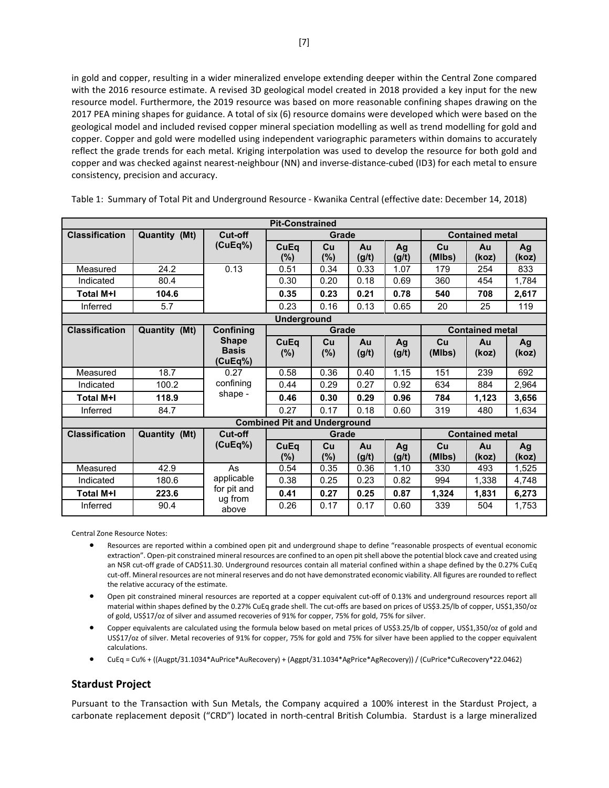in gold and copper, resulting in a wider mineralized envelope extending deeper within the Central Zone compared with the 2016 resource estimate. A revised 3D geological model created in 2018 provided a key input for the new resource model. Furthermore, the 2019 resource was based on more reasonable confining shapes drawing on the 2017 PEA mining shapes for guidance. A total of six (6) resource domains were developed which were based on the geological model and included revised copper mineral speciation modelling as well as trend modelling for gold and copper. Copper and gold were modelled using independent variographic parameters within domains to accurately reflect the grade trends for each metal. Kriging interpolation was used to develop the resource for both gold and copper and was checked against nearest-neighbour (NN) and inverse-distance-cubed (ID3) for each metal to ensure consistency, precision and accuracy.

|                       |                    |                                         | <b>Pit-Constrained</b>              |              |             |                        |              |                        |             |
|-----------------------|--------------------|-----------------------------------------|-------------------------------------|--------------|-------------|------------------------|--------------|------------------------|-------------|
| <b>Classification</b> | Quantity (Mt)      | Cut-off                                 | Grade                               |              |             | <b>Contained metal</b> |              |                        |             |
|                       |                    | (CuEq%)                                 | CuEq<br>(%)                         | Cu<br>$(\%)$ | Au<br>(g/t) | Ag<br>(g/t)            | Cu<br>(MIbs) | Au<br>(koz)            | Ag<br>(koz) |
| Measured              | 24.2               | 0.13                                    | 0.51                                | 0.34         | 0.33        | 1.07                   | 179          | 254                    | 833         |
| Indicated             | 80.4               |                                         | 0.30                                | 0.20         | 0.18        | 0.69                   | 360          | 454                    | 1,784       |
| Total M+I             | 104.6              |                                         | 0.35                                | 0.23         | 0.21        | 0.78                   | 540          | 708                    | 2,617       |
| Inferred              | 5.7                |                                         | 0.23                                | 0.16         | 0.13        | 0.65                   | 20           | 25                     | 119         |
|                       | <b>Underground</b> |                                         |                                     |              |             |                        |              |                        |             |
| <b>Classification</b> | Quantity (Mt)      | Confining                               |                                     | Grade        |             |                        |              | <b>Contained metal</b> |             |
|                       |                    | <b>Shape</b><br><b>Basis</b><br>(CuEq%) | CuEq<br>(%)                         | Cu<br>(%)    | Au<br>(g/t) | Ag<br>(g/t)            | Cu<br>(MIbs) | Au<br>(koz)            | Ag<br>(koz) |
| Measured              | 18.7               | 0.27                                    | 0.58                                | 0.36         | 0.40        | 1.15                   | 151          | 239                    | 692         |
| Indicated             | 100.2              | confining                               | 0.44                                | 0.29         | 0.27        | 0.92                   | 634          | 884                    | 2,964       |
| Total M+I             | 118.9              | shape -                                 | 0.46                                | 0.30         | 0.29        | 0.96                   | 784          | 1,123                  | 3,656       |
| Inferred              | 84.7               |                                         | 0.27                                | 0.17         | 0.18        | 0.60                   | 319          | 480                    | 1,634       |
|                       |                    |                                         | <b>Combined Pit and Underground</b> |              |             |                        |              |                        |             |
| <b>Classification</b> | Quantity (Mt)      | Cut-off                                 |                                     | Grade        |             |                        |              | <b>Contained metal</b> |             |
|                       |                    | (CuEq%)                                 | CuEq<br>$(\%)$                      | Cu<br>$(\%)$ | Au<br>(g/t) | Ag<br>(g/t)            | Cu<br>(MIbs) | Au<br>(koz)            | Aq<br>(koz) |
| Measured              | 42.9               | As                                      | 0.54                                | 0.35         | 0.36        | 1.10                   | 330          | 493                    | 1,525       |
| Indicated             | 180.6              | applicable                              | 0.38                                | 0.25         | 0.23        | 0.82                   | 994          | 1,338                  | 4,748       |
| <b>Total M+I</b>      | 223.6              | for pit and<br>ug from                  | 0.41                                | 0.27         | 0.25        | 0.87                   | 1,324        | 1,831                  | 6,273       |
| Inferred              | 90.4               | above                                   | 0.26                                | 0.17         | 0.17        | 0.60                   | 339          | 504                    | 1.753       |

Table 1: Summary of Total Pit and Underground Resource - Kwanika Central (effective date: December 14, 2018)

Central Zone Resource Notes:

- Resources are reported within a combined open pit and underground shape to define "reasonable prospects of eventual economic extraction". Open-pit constrained mineral resources are confined to an open pit shell above the potential block cave and created using an NSR cut-off grade of CAD\$11.30. Underground resources contain all material confined within a shape defined by the 0.27% CuEq cut-off. Mineral resources are not mineral reserves and do not have demonstrated economic viability. All figures are rounded to reflect the relative accuracy of the estimate.
- Open pit constrained mineral resources are reported at a copper equivalent cut-off of 0.13% and underground resources report all material within shapes defined by the 0.27% CuEq grade shell. The cut-offs are based on prices of US\$3.25/lb of copper, US\$1,350/oz of gold, US\$17/oz of silver and assumed recoveries of 91% for copper, 75% for gold, 75% for silver.
- Copper equivalents are calculated using the formula below based on metal prices of US\$3.25/lb of copper, US\$1,350/oz of gold and US\$17/oz of silver. Metal recoveries of 91% for copper, 75% for gold and 75% for silver have been applied to the copper equivalent calculations.
- CuEq = Cu% + ((Augpt/31.1034\*AuPrice\*AuRecovery) + (Aggpt/31.1034\*AgPrice\*AgRecovery)) / (CuPrice\*CuRecovery\*22.0462)

## **Stardust Project**

Pursuant to the Transaction with Sun Metals, the Company acquired a 100% interest in the Stardust Project, a carbonate replacement deposit ("CRD") located in north-central British Columbia. Stardust is a large mineralized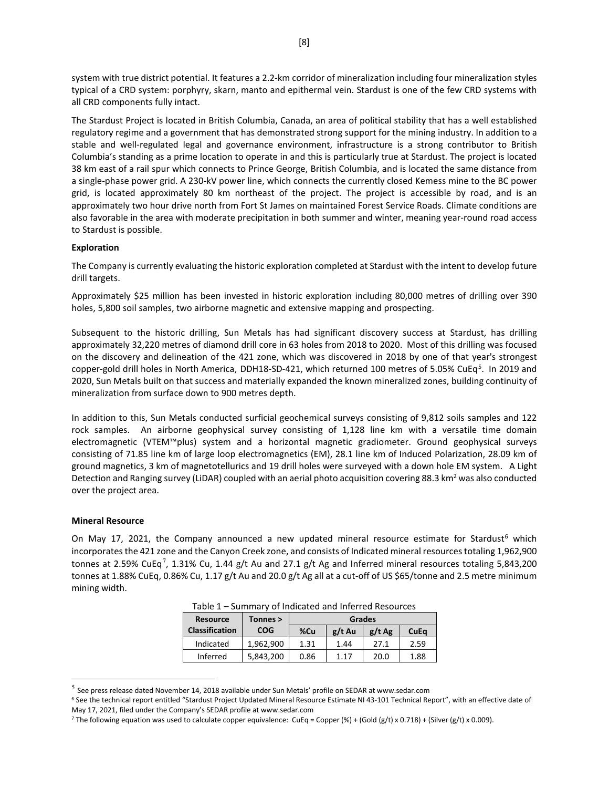system with true district potential. It features a 2.2-km corridor of mineralization including four mineralization styles typical of a CRD system: porphyry, skarn, manto and epithermal vein. Stardust is one of the few CRD systems with all CRD components fully intact.

The Stardust Project is located in British Columbia, Canada, an area of political stability that has a well established regulatory regime and a government that has demonstrated strong support for the mining industry. In addition to a stable and well-regulated legal and governance environment, infrastructure is a strong contributor to British Columbia's standing as a prime location to operate in and this is particularly true at Stardust. The project is located 38 km east of a rail spur which connects to Prince George, British Columbia, and is located the same distance from a single-phase power grid. A 230-kV power line, which connects the currently closed Kemess mine to the BC power grid, is located approximately 80 km northeast of the project. The project is accessible by road, and is an approximately two hour drive north from Fort St James on maintained Forest Service Roads. Climate conditions are also favorable in the area with moderate precipitation in both summer and winter, meaning year-round road access to Stardust is possible.

### **Exploration**

The Company is currently evaluating the historic exploration completed at Stardust with the intent to develop future drill targets.

Approximately \$25 million has been invested in historic exploration including 80,000 metres of drilling over 390 holes, 5,800 soil samples, two airborne magnetic and extensive mapping and prospecting.

Subsequent to the historic drilling, Sun Metals has had significant discovery success at Stardust, has drilling approximately 32,220 metres of diamond drill core in 63 holes from 2018 to 2020. Most of this drilling was focused on the discovery and delineation of the 421 zone, which was discovered in 2018 by one of that year's strongest copper-gold drill holes in North America, DDH18-SD-421, which returned 100 metres of [5](#page-7-0).05% CuEq<sup>5</sup>. In 2019 and 2020, Sun Metals built on that success and materially expanded the known mineralized zones, building continuity of mineralization from surface down to 900 metres depth.

In addition to this, Sun Metals conducted surficial geochemical surveys consisting of 9,812 soils samples and 122 rock samples. An airborne geophysical survey consisting of 1,128 line km with a versatile time domain electromagnetic (VTEM™plus) system and a horizontal magnetic gradiometer. Ground geophysical surveys consisting of 71.85 line km of large loop electromagnetics (EM), 28.1 line km of Induced Polarization, 28.09 km of ground magnetics, 3 km of magnetotellurics and 19 drill holes were surveyed with a down hole EM system. A Light Detection and Ranging survey (LiDAR) coupled with an aerial photo acquisition covering 88.3 km<sup>2</sup> was also conducted over the project area.

#### **Mineral Resource**

On May 17, 2021, the Company announced a new updated mineral resource estimate for Stardust<sup>[6](#page-7-1)</sup> which incorporates the 421 zone and the Canyon Creek zone, and consists of Indicated mineral resources totaling 1,962,900 tonnes at 2.59% CuEq<sup>[7](#page-7-2)</sup>, 1.31% Cu, 1.44 g/t Au and 27.1 g/t Ag and Inferred mineral resources totaling 5,843,200 tonnes at 1.88% CuEq, 0.86% Cu, 1.17 g/t Au and 20.0 g/t Ag all at a cut-off of US \$65/tonne and 2.5 metre minimum mining width.

| <b>Resource</b>       | Tonnes >   | Grades |          |          |      |  |
|-----------------------|------------|--------|----------|----------|------|--|
| <b>Classification</b> | <b>COG</b> | %Cu    | $g/t$ Au | $g/t$ Ag | CuEq |  |
| Indicated             | 1,962,900  | 1.31   | 1.44     | 27.1     | 2.59 |  |
| Inferred              | 5,843,200  | 0.86   | 1.17     | 20.0     | 1.88 |  |

Table 1 – Summary of Indicated and Inferred Resources

<span id="page-7-0"></span><sup>5</sup> See press release dated November 14, 2018 available under Sun Metals' profile on SEDAR at www.sedar.com

<span id="page-7-1"></span><sup>&</sup>lt;sup>6</sup> See the technical report entitled "Stardust Project Updated Mineral Resource Estimate NI 43-101 Technical Report", with an effective date of May 17, 2021, filed under the Company's SEDAR profile a[t www.sedar.com](http://www.sedar.com/)

<span id="page-7-2"></span><sup>&</sup>lt;sup>7</sup> The following equation was used to calculate copper equivalence: CuEq = Copper (%) + (Gold (g/t) x 0.718) + (Silver (g/t) x 0.009).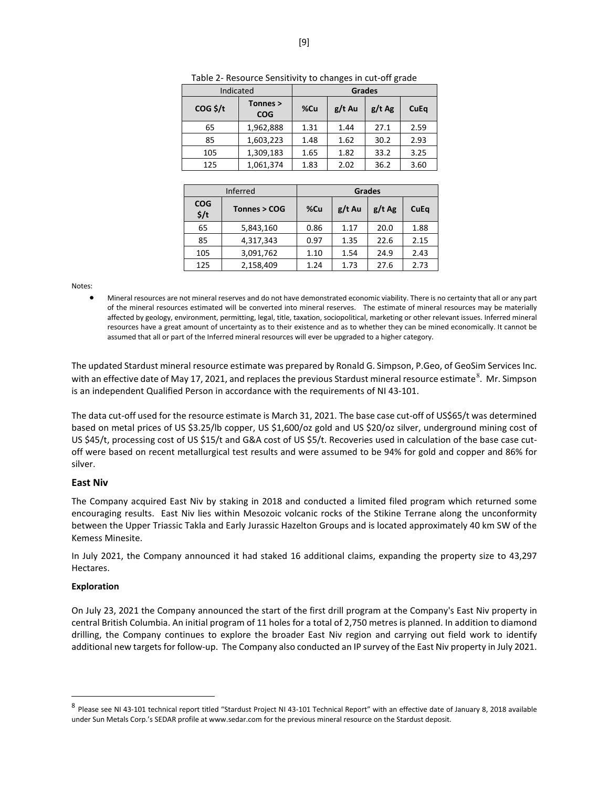| Indicated  | <b>Grades</b>          |      |          |          |      |
|------------|------------------------|------|----------|----------|------|
| $COG$ \$/t | Tonnes ><br><b>COG</b> | %Cu  | $g/t$ Au | $g/t$ Ag | CuEq |
| 65         | 1,962,888              | 1.31 | 1.44     | 27.1     | 2.59 |
| 85         | 1,603,223              | 1.48 | 1.62     | 30.2     | 2.93 |
| 105        | 1,309,183              | 1.65 | 1.82     | 33.2     | 3.25 |
| 125        | 1,061,374              | 1.83 | 2.02     | 36.2     | 3.60 |

Table 2- Resource Sensitivity to changes in cut-off grade

|                                | <b>Inferred</b> | Grades |          |          |             |  |
|--------------------------------|-----------------|--------|----------|----------|-------------|--|
| <b>COG</b><br>$\frac{2}{3}$ /t | Tonnes > COG    | %Cu    | $g/t$ Au | $g/t$ Ag | <b>CuEq</b> |  |
| 65                             | 5,843,160       | 0.86   | 1.17     | 20.0     | 1.88        |  |
| 85                             | 4,317,343       | 0.97   | 1.35     | 22.6     | 2.15        |  |
| 105                            | 3,091,762       | 1.10   | 1.54     | 24.9     | 2.43        |  |
| 125                            | 2,158,409       | 1.24   | 1.73     | 27.6     | 2.73        |  |

Notes:

• Mineral resources are not mineral reserves and do not have demonstrated economic viability. There is no certainty that all or any part of the mineral resources estimated will be converted into mineral reserves. The estimate of mineral resources may be materially affected by geology, environment, permitting, legal, title, taxation, sociopolitical, marketing or other relevant issues. Inferred mineral resources have a great amount of uncertainty as to their existence and as to whether they can be mined economically. It cannot be assumed that all or part of the Inferred mineral resources will ever be upgraded to a higher category.

The updated Stardust mineral resource estimate was prepared by Ronald G. Simpson, P.Geo, of GeoSim Services Inc. with an effective date of May 17, 2021, and replaces the previous Stardust mineral resource estimate<sup>[8](#page-8-0)</sup>. Mr. Simpson is an independent Qualified Person in accordance with the requirements of NI 43-101.

The data cut-off used for the resource estimate is March 31, 2021. The base case cut-off of US\$65/t was determined based on metal prices of US \$3.25/lb copper, US \$1,600/oz gold and US \$20/oz silver, underground mining cost of US \$45/t, processing cost of US \$15/t and G&A cost of US \$5/t. Recoveries used in calculation of the base case cutoff were based on recent metallurgical test results and were assumed to be 94% for gold and copper and 86% for silver.

#### **East Niv**

The Company acquired East Niv by staking in 2018 and conducted a limited filed program which returned some encouraging results. East Niv lies within Mesozoic volcanic rocks of the Stikine Terrane along the unconformity between the Upper Triassic Takla and Early Jurassic Hazelton Groups and is located approximately 40 km SW of the Kemess Minesite.

In July 2021, the Company announced it had staked 16 additional claims, expanding the property size to 43,297 Hectares.

#### **Exploration**

On July 23, 2021 the Company announced the start of the first drill program at the Company's East Niv property in central British Columbia. An initial program of 11 holes for a total of 2,750 metres is planned. In addition to diamond drilling, the Company continues to explore the broader East Niv region and carrying out field work to identify additional new targets for follow-up. The Company also conducted an IP survey of the East Niv property in July 2021.

<span id="page-8-0"></span><sup>8</sup> Please see NI 43-101 technical report titled "Stardust Project NI 43-101 Technical Report" with an effective date of January 8, 2018 available under Sun Metals Corp.'s SEDAR profile a[t www.sedar.com](http://www.sedar.com/) for the previous mineral resource on the Stardust deposit.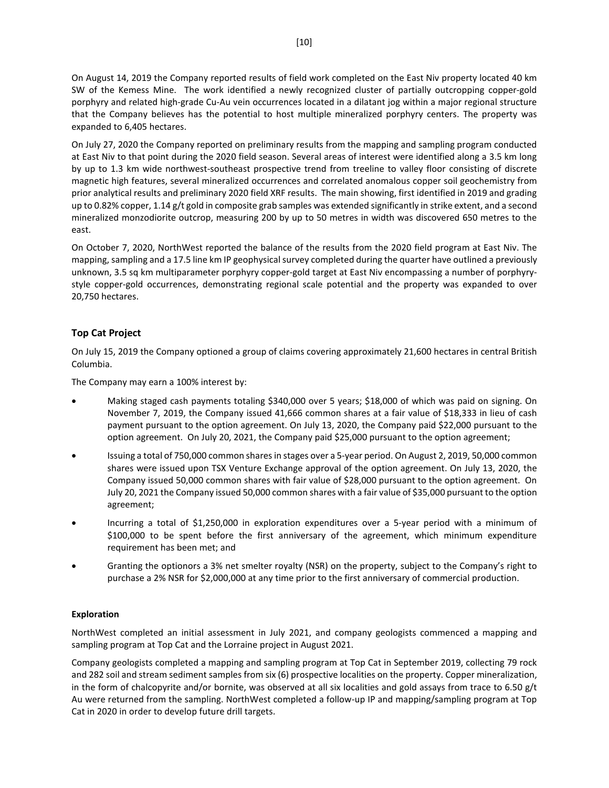On August 14, 2019 the Company reported results of field work completed on the East Niv property located 40 km SW of the Kemess Mine. The work identified a newly recognized cluster of partially outcropping copper-gold porphyry and related high-grade Cu-Au vein occurrences located in a dilatant jog within a major regional structure that the Company believes has the potential to host multiple mineralized porphyry centers. The property was expanded to 6,405 hectares.

On July 27, 2020 the Company reported on preliminary results from the mapping and sampling program conducted at East Niv to that point during the 2020 field season. Several areas of interest were identified along a 3.5 km long by up to 1.3 km wide northwest-southeast prospective trend from treeline to valley floor consisting of discrete magnetic high features, several mineralized occurrences and correlated anomalous copper soil geochemistry from prior analytical results and preliminary 2020 field XRF results. The main showing, first identified in 2019 and grading up to 0.82% copper, 1.14 g/t gold in composite grab samples was extended significantly in strike extent, and a second mineralized monzodiorite outcrop, measuring 200 by up to 50 metres in width was discovered 650 metres to the east.

On October 7, 2020, NorthWest reported the balance of the results from the 2020 field program at East Niv. The mapping, sampling and a 17.5 line km IP geophysical survey completed during the quarter have outlined a previously unknown, 3.5 sq km multiparameter porphyry copper-gold target at East Niv encompassing a number of porphyrystyle copper-gold occurrences, demonstrating regional scale potential and the property was expanded to over 20,750 hectares.

## **Top Cat Project**

On July 15, 2019 the Company optioned a group of claims covering approximately 21,600 hectares in central British Columbia.

The Company may earn a 100% interest by:

- Making staged cash payments totaling \$340,000 over 5 years; \$18,000 of which was paid on signing. On November 7, 2019, the Company issued 41,666 common shares at a fair value of \$18,333 in lieu of cash payment pursuant to the option agreement. On July 13, 2020, the Company paid \$22,000 pursuant to the option agreement. On July 20, 2021, the Company paid \$25,000 pursuant to the option agreement;
- Issuing a total of 750,000 common sharesin stages over a 5-year period. On August 2, 2019, 50,000 common shares were issued upon TSX Venture Exchange approval of the option agreement. On July 13, 2020, the Company issued 50,000 common shares with fair value of \$28,000 pursuant to the option agreement. On July 20, 2021 the Company issued 50,000 common shares with a fair value of \$35,000 pursuant to the option agreement;
- Incurring a total of \$1,250,000 in exploration expenditures over a 5-year period with a minimum of \$100,000 to be spent before the first anniversary of the agreement, which minimum expenditure requirement has been met; and
- Granting the optionors a 3% net smelter royalty (NSR) on the property, subject to the Company's right to purchase a 2% NSR for \$2,000,000 at any time prior to the first anniversary of commercial production.

#### **Exploration**

NorthWest completed an initial assessment in July 2021, and company geologists commenced a mapping and sampling program at Top Cat and the Lorraine project in August 2021.

Company geologists completed a mapping and sampling program at Top Cat in September 2019, collecting 79 rock and 282 soil and stream sediment samples from six (6) prospective localities on the property. Copper mineralization, in the form of chalcopyrite and/or bornite, was observed at all six localities and gold assays from trace to 6.50 g/t Au were returned from the sampling. NorthWest completed a follow-up IP and mapping/sampling program at Top Cat in 2020 in order to develop future drill targets.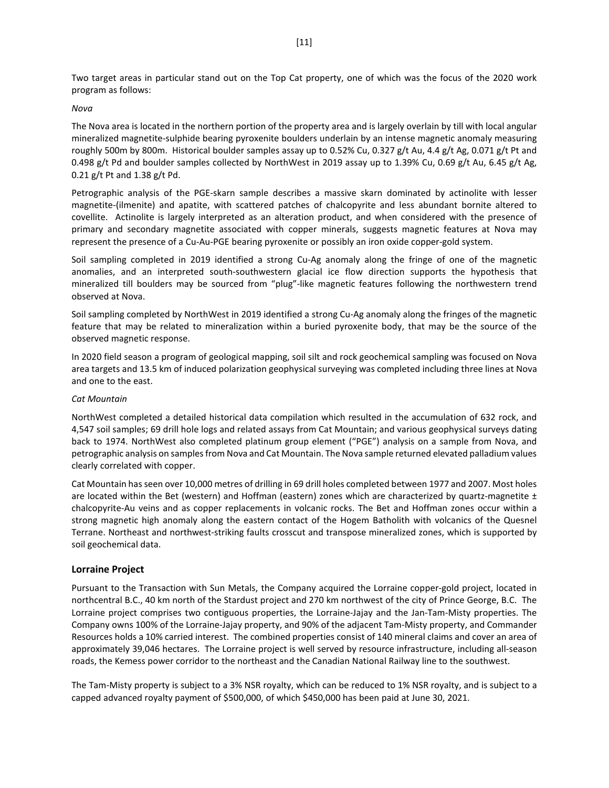Two target areas in particular stand out on the Top Cat property, one of which was the focus of the 2020 work program as follows:

#### *Nova*

The Nova area is located in the northern portion of the property area and is largely overlain by till with local angular mineralized magnetite-sulphide bearing pyroxenite boulders underlain by an intense magnetic anomaly measuring roughly 500m by 800m. Historical boulder samples assay up to 0.52% Cu, 0.327 g/t Au, 4.4 g/t Ag, 0.071 g/t Pt and 0.498 g/t Pd and boulder samples collected by NorthWest in 2019 assay up to 1.39% Cu, 0.69 g/t Au, 6.45 g/t Ag, 0.21 g/t Pt and 1.38 g/t Pd.

Petrographic analysis of the PGE-skarn sample describes a massive skarn dominated by actinolite with lesser magnetite-(ilmenite) and apatite, with scattered patches of chalcopyrite and less abundant bornite altered to covellite. Actinolite is largely interpreted as an alteration product, and when considered with the presence of primary and secondary magnetite associated with copper minerals, suggests magnetic features at Nova may represent the presence of a Cu-Au-PGE bearing pyroxenite or possibly an iron oxide copper-gold system.

Soil sampling completed in 2019 identified a strong Cu-Ag anomaly along the fringe of one of the magnetic anomalies, and an interpreted south-southwestern glacial ice flow direction supports the hypothesis that mineralized till boulders may be sourced from "plug"-like magnetic features following the northwestern trend observed at Nova.

Soil sampling completed by NorthWest in 2019 identified a strong Cu-Ag anomaly along the fringes of the magnetic feature that may be related to mineralization within a buried pyroxenite body, that may be the source of the observed magnetic response.

In 2020 field season a program of geological mapping, soil silt and rock geochemical sampling was focused on Nova area targets and 13.5 km of induced polarization geophysical surveying was completed including three lines at Nova and one to the east.

#### *Cat Mountain*

NorthWest completed a detailed historical data compilation which resulted in the accumulation of 632 rock, and 4,547 soil samples; 69 drill hole logs and related assays from Cat Mountain; and various geophysical surveys dating back to 1974. NorthWest also completed platinum group element ("PGE") analysis on a sample from Nova, and petrographic analysis on samples from Nova and Cat Mountain. The Nova sample returned elevated palladium values clearly correlated with copper.

Cat Mountain has seen over 10,000 metres of drilling in 69 drill holes completed between 1977 and 2007. Most holes are located within the Bet (western) and Hoffman (eastern) zones which are characterized by quartz-magnetite  $\pm$ chalcopyrite-Au veins and as copper replacements in volcanic rocks. The Bet and Hoffman zones occur within a strong magnetic high anomaly along the eastern contact of the Hogem Batholith with volcanics of the Quesnel Terrane. Northeast and northwest-striking faults crosscut and transpose mineralized zones, which is supported by soil geochemical data.

#### **Lorraine Project**

Pursuant to the Transaction with Sun Metals, the Company acquired the Lorraine copper-gold project, located in northcentral B.C., 40 km north of the Stardust project and 270 km northwest of the city of Prince George, B.C. The Lorraine project comprises two contiguous properties, the Lorraine-Jajay and the Jan-Tam-Misty properties. The Company owns 100% of the Lorraine-Jajay property, and 90% of the adjacent Tam-Misty property, and Commander Resources holds a 10% carried interest. The combined properties consist of 140 mineral claims and cover an area of approximately 39,046 hectares. The Lorraine project is well served by resource infrastructure, including all-season roads, the Kemess power corridor to the northeast and the Canadian National Railway line to the southwest.

The Tam-Misty property is subject to a 3% NSR royalty, which can be reduced to 1% NSR royalty, and is subject to a capped advanced royalty payment of \$500,000, of which \$450,000 has been paid at June 30, 2021.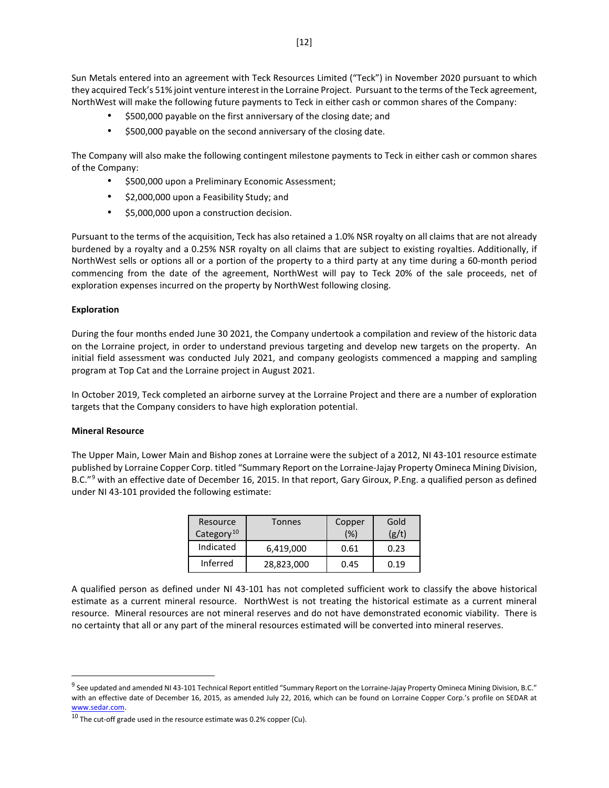Sun Metals entered into an agreement with Teck Resources Limited ("Teck") in November 2020 pursuant to which they acquired Teck's 51% joint venture interest in the Lorraine Project. Pursuant to the terms of the Teck agreement, NorthWest will make the following future payments to Teck in either cash or common shares of the Company:

- \$500,000 payable on the first anniversary of the closing date; and
- \$500,000 payable on the second anniversary of the closing date.

The Company will also make the following contingent milestone payments to Teck in either cash or common shares of the Company:

- \$500,000 upon a Preliminary Economic Assessment;
- \$2,000,000 upon a Feasibility Study; and
- \$5,000,000 upon a construction decision.

Pursuant to the terms of the acquisition, Teck has also retained a 1.0% NSR royalty on all claims that are not already burdened by a royalty and a 0.25% NSR royalty on all claims that are subject to existing royalties. Additionally, if NorthWest sells or options all or a portion of the property to a third party at any time during a 60-month period commencing from the date of the agreement, NorthWest will pay to Teck 20% of the sale proceeds, net of exploration expenses incurred on the property by NorthWest following closing.

#### **Exploration**

During the four months ended June 30 2021, the Company undertook a compilation and review of the historic data on the Lorraine project, in order to understand previous targeting and develop new targets on the property. An initial field assessment was conducted July 2021, and company geologists commenced a mapping and sampling program at Top Cat and the Lorraine project in August 2021.

In October 2019, Teck completed an airborne survey at the Lorraine Project and there are a number of exploration targets that the Company considers to have high exploration potential.

#### **Mineral Resource**

The Upper Main, Lower Main and Bishop zones at Lorraine were the subject of a 2012, NI 43-101 resource estimate published by Lorraine Copper Corp. titled "Summary Report on the Lorraine-Jajay Property Omineca Mining Division, B.C."<sup>[9](#page-11-0)</sup> with an effective date of December 16, 2015. In that report, Gary Giroux, P.Eng. a qualified person as defined under NI 43-101 provided the following estimate:

| Resource<br>Category <sup>10</sup> | Tonnes     | Copper<br>(%) | Gold<br>(g/t) |
|------------------------------------|------------|---------------|---------------|
| Indicated                          | 6,419,000  | 0.61          | 0.23          |
| Inferred                           | 28,823,000 | 0.45          | 0.19          |

A qualified person as defined under NI 43-101 has not completed sufficient work to classify the above historical estimate as a current mineral resource. NorthWest is not treating the historical estimate as a current mineral resource. Mineral resources are not mineral reserves and do not have demonstrated economic viability. There is no certainty that all or any part of the mineral resources estimated will be converted into mineral reserves.

<span id="page-11-0"></span> $9$  See updated and amended NI 43-101 Technical Report entitled "Summary Report on the Lorraine-Jajay Property Omineca Mining Division, B.C." with an effective date of December 16, 2015, as amended July 22, 2016, which can be found on Lorraine Copper Corp.'s profile on SEDAR at www.sedar.com.

<span id="page-11-1"></span> $10$  The cut-off grade used in the resource estimate was 0.2% copper (Cu).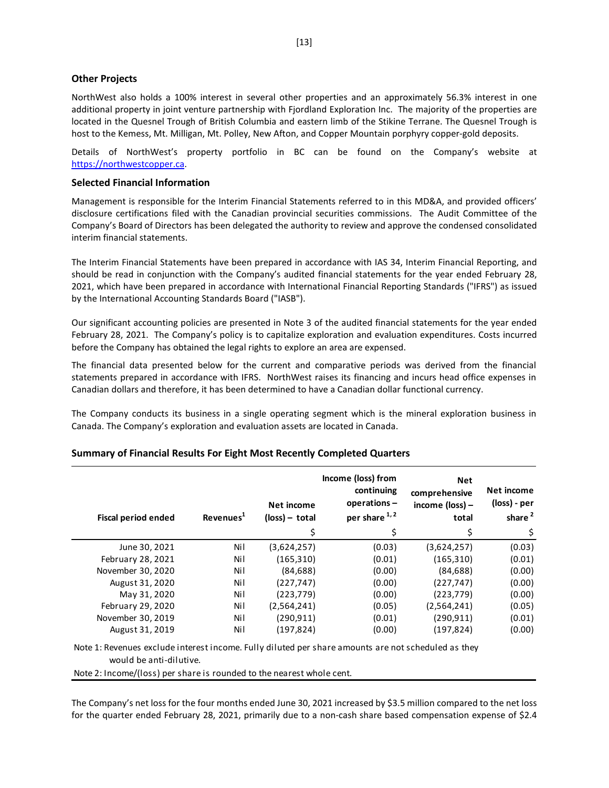#### **Other Projects**

NorthWest also holds a 100% interest in several other properties and an approximately 56.3% interest in one additional property in joint venture partnership with Fjordland Exploration Inc. The majority of the properties are located in the Quesnel Trough of British Columbia and eastern limb of the Stikine Terrane. The Quesnel Trough is host to the Kemess, Mt. Milligan, Mt. Polley, New Afton, and Copper Mountain porphyry copper-gold deposits.

Details of NorthWest's property portfolio in BC can be found on the Company's website at [https://northwestcopper.ca.](https://northwestcopper.ca/)

#### **Selected Financial Information**

Management is responsible for the Interim Financial Statements referred to in this MD&A, and provided officers' disclosure certifications filed with the Canadian provincial securities commissions. The Audit Committee of the Company's Board of Directors has been delegated the authority to review and approve the condensed consolidated interim financial statements.

The Interim Financial Statements have been prepared in accordance with IAS 34, Interim Financial Reporting, and should be read in conjunction with the Company's audited financial statements for the year ended February 28, 2021, which have been prepared in accordance with International Financial Reporting Standards ("IFRS") as issued by the International Accounting Standards Board ("IASB").

Our significant accounting policies are presented in Note 3 of the audited financial statements for the year ended February 28, 2021. The Company's policy is to capitalize exploration and evaluation expenditures. Costs incurred before the Company has obtained the legal rights to explore an area are expensed.

The financial data presented below for the current and comparative periods was derived from the financial statements prepared in accordance with IFRS. NorthWest raises its financing and incurs head office expenses in Canadian dollars and therefore, it has been determined to have a Canadian dollar functional currency.

The Company conducts its business in a single operating segment which is the mineral exploration business in Canada. The Company's exploration and evaluation assets are located in Canada.

| <b>Fiscal period ended</b> | Revenues <sup>1</sup> | Net income<br>$(\text{loss})$ – total<br>Ś | Income (loss) from<br>continuing<br>operations-<br>per share 1,2<br>Ś | <b>Net</b><br>comprehensive<br>income $(\text{loss})$ –<br>total<br>\$ | Net income<br>(loss) - per<br>share <sup>2</sup><br>\$ |
|----------------------------|-----------------------|--------------------------------------------|-----------------------------------------------------------------------|------------------------------------------------------------------------|--------------------------------------------------------|
| June 30, 2021              | Ni l                  | (3,624,257)                                | (0.03)                                                                | (3,624,257)                                                            | (0.03)                                                 |
| February 28, 2021          | Nil                   | (165, 310)                                 | (0.01)                                                                | (165, 310)                                                             | (0.01)                                                 |
| November 30, 2020          | Nil                   | (84, 688)                                  | (0.00)                                                                | (84, 688)                                                              | (0.00)                                                 |
| August 31, 2020            | Nil                   | (227, 747)                                 | (0.00)                                                                | (227, 747)                                                             | (0.00)                                                 |
| May 31, 2020               | Nil                   | (223, 779)                                 | (0.00)                                                                | (223, 779)                                                             | (0.00)                                                 |
| February 29, 2020          | Ni l                  | (2,564,241)                                | (0.05)                                                                | (2,564,241)                                                            | (0.05)                                                 |
| November 30, 2019          | Nil                   | (290,911)                                  | (0.01)                                                                | (290.911)                                                              | (0.01)                                                 |
| August 31, 2019            | Nil                   | (197,824)                                  | (0.00)                                                                | (197, 824)                                                             | (0.00)                                                 |

#### **Summary of Financial Results For Eight Most Recently Completed Quarters**

Note 1: Revenues exclude interest income. Fully diluted per share amounts are not scheduled as they would be anti-dilutive.

Note 2: Income/(loss) per share is rounded to the nearest whole cent.

The Company's net loss for the four months ended June 30, 2021 increased by \$3.5 million compared to the net loss for the quarter ended February 28, 2021, primarily due to a non-cash share based compensation expense of \$2.4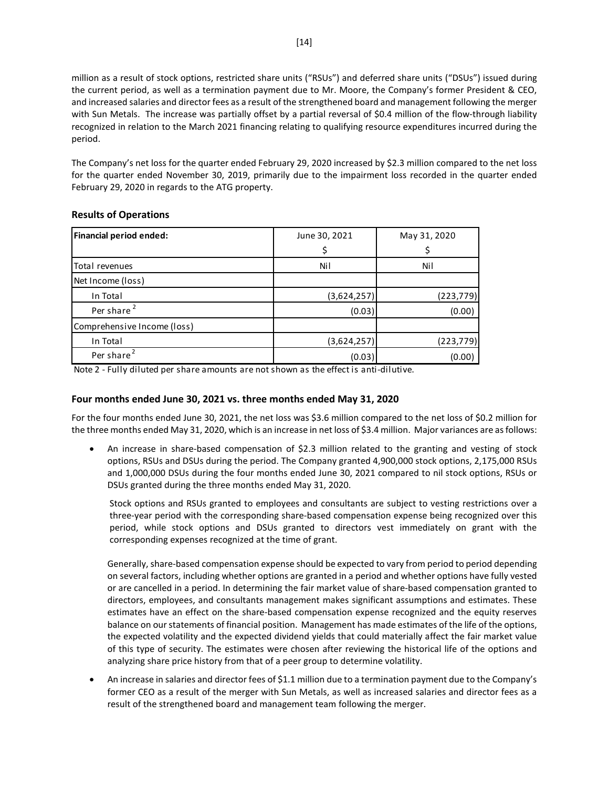million as a result of stock options, restricted share units ("RSUs") and deferred share units ("DSUs") issued during the current period, as well as a termination payment due to Mr. Moore, the Company's former President & CEO, and increased salaries and director fees as a result of the strengthened board and management following the merger with Sun Metals. The increase was partially offset by a partial reversal of \$0.4 million of the flow-through liability recognized in relation to the March 2021 financing relating to qualifying resource expenditures incurred during the period.

The Company's net loss for the quarter ended February 29, 2020 increased by \$2.3 million compared to the net loss for the quarter ended November 30, 2019, primarily due to the impairment loss recorded in the quarter ended February 29, 2020 in regards to the ATG property.

| <b>Financial period ended:</b> | June 30, 2021 | May 31, 2020 |  |  |
|--------------------------------|---------------|--------------|--|--|
|                                | \$            |              |  |  |
| Total revenues                 | Nil           | Nil          |  |  |
| Net Income (loss)              |               |              |  |  |
| In Total                       | (3,624,257)   | (223, 779)   |  |  |
| Per share <sup>2</sup>         | (0.03)        | (0.00)       |  |  |
| Comprehensive Income (loss)    |               |              |  |  |
| In Total                       | (3,624,257)   | (223, 779)   |  |  |
| Per share <sup>2</sup>         | (0.03)        | (0.00)       |  |  |

## **Results of Operations**

Note 2 - Fully diluted per share amounts are not shown as the effect is anti-dilutive.

### **Four months ended June 30, 2021 vs. three months ended May 31, 2020**

For the four months ended June 30, 2021, the net loss was \$3.6 million compared to the net loss of \$0.2 million for the three months ended May 31, 2020, which is an increase in net loss of \$3.4 million. Major variances are as follows:

• An increase in share-based compensation of \$2.3 million related to the granting and vesting of stock options, RSUs and DSUs during the period. The Company granted 4,900,000 stock options, 2,175,000 RSUs and 1,000,000 DSUs during the four months ended June 30, 2021 compared to nil stock options, RSUs or DSUs granted during the three months ended May 31, 2020.

Stock options and RSUs granted to employees and consultants are subject to vesting restrictions over a three-year period with the corresponding share-based compensation expense being recognized over this period, while stock options and DSUs granted to directors vest immediately on grant with the corresponding expenses recognized at the time of grant.

Generally, share-based compensation expense should be expected to vary from period to period depending on several factors, including whether options are granted in a period and whether options have fully vested or are cancelled in a period. In determining the fair market value of share-based compensation granted to directors, employees, and consultants management makes significant assumptions and estimates. These estimates have an effect on the share-based compensation expense recognized and the equity reserves balance on our statements of financial position. Management has made estimates of the life of the options, the expected volatility and the expected dividend yields that could materially affect the fair market value of this type of security. The estimates were chosen after reviewing the historical life of the options and analyzing share price history from that of a peer group to determine volatility.

• An increase in salaries and director fees of \$1.1 million due to a termination payment due to the Company's former CEO as a result of the merger with Sun Metals, as well as increased salaries and director fees as a result of the strengthened board and management team following the merger.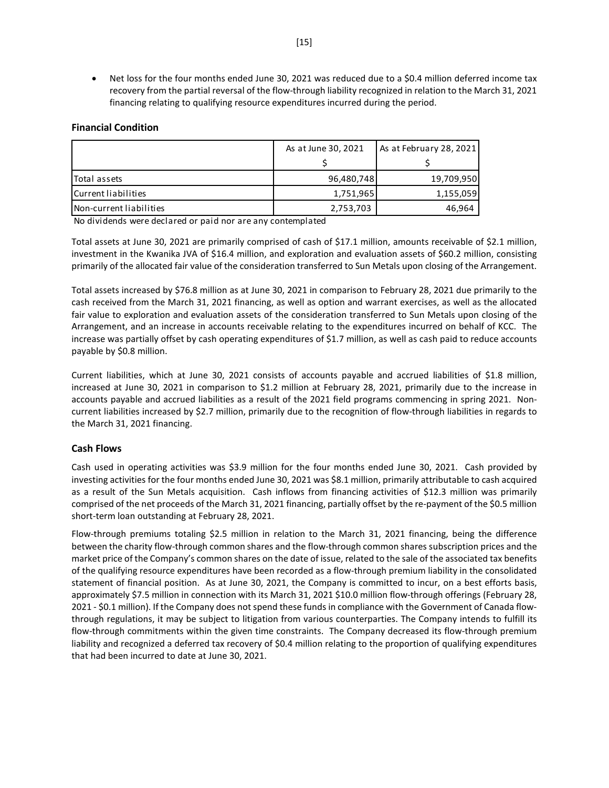• Net loss for the four months ended June 30, 2021 was reduced due to a \$0.4 million deferred income tax recovery from the partial reversal of the flow-through liability recognized in relation to the March 31, 2021 financing relating to qualifying resource expenditures incurred during the period.

## **Financial Condition**

|                         | As at June 30, 2021 | As at February 28, 2021 |
|-------------------------|---------------------|-------------------------|
|                         |                     |                         |
| Total assets            | 96,480,748          | 19,709,950              |
| Current liabilities     | 1,751,965           | 1,155,059               |
| Non-current liabilities | 2,753,703           | 46,964                  |

No dividends were declared or paid nor are any contemplated

Total assets at June 30, 2021 are primarily comprised of cash of \$17.1 million, amounts receivable of \$2.1 million, investment in the Kwanika JVA of \$16.4 million, and exploration and evaluation assets of \$60.2 million, consisting primarily of the allocated fair value of the consideration transferred to Sun Metals upon closing of the Arrangement.

Total assets increased by \$76.8 million as at June 30, 2021 in comparison to February 28, 2021 due primarily to the cash received from the March 31, 2021 financing, as well as option and warrant exercises, as well as the allocated fair value to exploration and evaluation assets of the consideration transferred to Sun Metals upon closing of the Arrangement, and an increase in accounts receivable relating to the expenditures incurred on behalf of KCC. The increase was partially offset by cash operating expenditures of \$1.7 million, as well as cash paid to reduce accounts payable by \$0.8 million.

Current liabilities, which at June 30, 2021 consists of accounts payable and accrued liabilities of \$1.8 million, increased at June 30, 2021 in comparison to \$1.2 million at February 28, 2021, primarily due to the increase in accounts payable and accrued liabilities as a result of the 2021 field programs commencing in spring 2021. Noncurrent liabilities increased by \$2.7 million, primarily due to the recognition of flow-through liabilities in regards to the March 31, 2021 financing.

## **Cash Flows**

Cash used in operating activities was \$3.9 million for the four months ended June 30, 2021. Cash provided by investing activities for the four months ended June 30, 2021 was \$8.1 million, primarily attributable to cash acquired as a result of the Sun Metals acquisition. Cash inflows from financing activities of \$12.3 million was primarily comprised of the net proceeds of the March 31, 2021 financing, partially offset by the re-payment of the \$0.5 million short-term loan outstanding at February 28, 2021.

Flow-through premiums totaling \$2.5 million in relation to the March 31, 2021 financing, being the difference between the charity flow-through common shares and the flow-through common shares subscription prices and the market price of the Company's common shares on the date of issue, related to the sale of the associated tax benefits of the qualifying resource expenditures have been recorded as a flow-through premium liability in the consolidated statement of financial position. As at June 30, 2021, the Company is committed to incur, on a best efforts basis, approximately \$7.5 million in connection with its March 31, 2021 \$10.0 million flow-through offerings (February 28, 2021 - \$0.1 million). If the Company does not spend these funds in compliance with the Government of Canada flowthrough regulations, it may be subject to litigation from various counterparties. The Company intends to fulfill its flow-through commitments within the given time constraints. The Company decreased its flow-through premium liability and recognized a deferred tax recovery of \$0.4 million relating to the proportion of qualifying expenditures that had been incurred to date at June 30, 2021.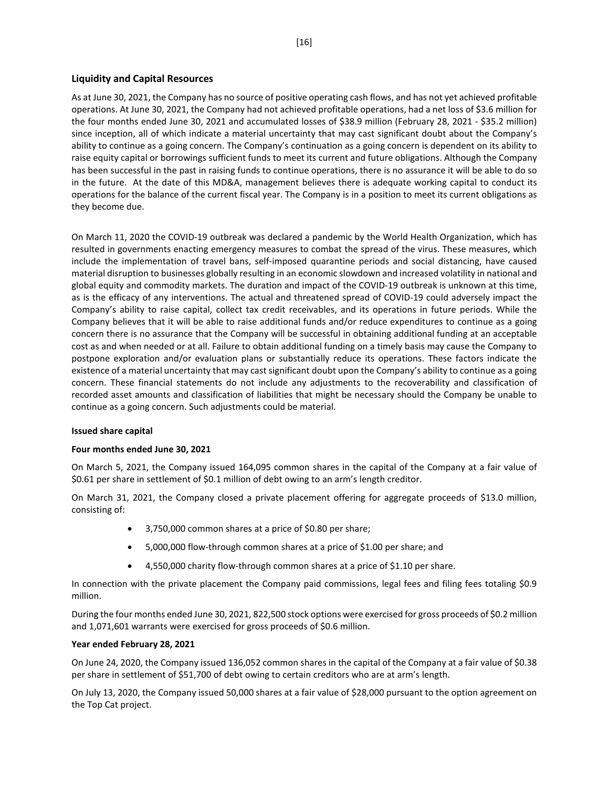## **Liquidity and Capital Resources**

As at June 30, 2021, the Company has no source of positive operating cash flows, and has not yet achieved profitable operations. At June 30, 2021, the Company had not achieved profitable operations, had a net loss of \$3.6 million for the four months ended June 30, 2021 and accumulated losses of \$38.9 million (February 28, 2021 - \$35.2 million) since inception, all of which indicate a material uncertainty that may cast significant doubt about the Company's ability to continue as a going concern. The Company's continuation as a going concern is dependent on its ability to raise equity capital or borrowings sufficient funds to meet its current and future obligations. Although the Company has been successful in the past in raising funds to continue operations, there is no assurance it will be able to do so in the future. At the date of this MD&A, management believes there is adequate working capital to conduct its operations for the balance of the current fiscal year. The Company is in a position to meet its current obligations as they become due.

On March 11, 2020 the COVID-19 outbreak was declared a pandemic by the World Health Organization, which has resulted in governments enacting emergency measures to combat the spread of the virus. These measures, which include the implementation of travel bans, self-imposed quarantine periods and social distancing, have caused material disruption to businesses globally resulting in an economic slowdown and increased volatility in national and global equity and commodity markets. The duration and impact of the COVID-19 outbreak is unknown at this time, as is the efficacy of any interventions. The actual and threatened spread of COVID-19 could adversely impact the Company's ability to raise capital, collect tax credit receivables, and its operations in future periods. While the Company believes that it will be able to raise additional funds and/or reduce expenditures to continue as a going concern there is no assurance that the Company will be successful in obtaining additional funding at an acceptable cost as and when needed or at all. Failure to obtain additional funding on a timely basis may cause the Company to postpone exploration and/or evaluation plans or substantially reduce its operations. These factors indicate the existence of a material uncertainty that may cast significant doubt upon the Company's ability to continue as a going concern. These financial statements do not include any adjustments to the recoverability and classification of recorded asset amounts and classification of liabilities that might be necessary should the Company be unable to continue as a going concern. Such adjustments could be material.

## **Issued share capital**

## **Four months ended June 30, 2021**

On March 5, 2021, the Company issued 164,095 common shares in the capital of the Company at a fair value of \$0.61 per share in settlement of \$0.1 million of debt owing to an arm's length creditor.

On March 31, 2021, the Company closed a private placement offering for aggregate proceeds of \$13.0 million, consisting of:

- 3,750,000 common shares at a price of \$0.80 per share;
- 5,000,000 flow-through common shares at a price of \$1.00 per share; and
- 4,550,000 charity flow-through common shares at a price of \$1.10 per share.

In connection with the private placement the Company paid commissions, legal fees and filing fees totaling \$0.9 million.

During the four months ended June 30, 2021, 822,500 stock options were exercised for gross proceeds of \$0.2 million and 1,071,601 warrants were exercised for gross proceeds of \$0.6 million.

#### **Year ended February 28, 2021**

On June 24, 2020, the Company issued 136,052 common shares in the capital of the Company at a fair value of \$0.38 per share in settlement of \$51,700 of debt owing to certain creditors who are at arm's length.

On July 13, 2020, the Company issued 50,000 shares at a fair value of \$28,000 pursuant to the option agreement on the Top Cat project.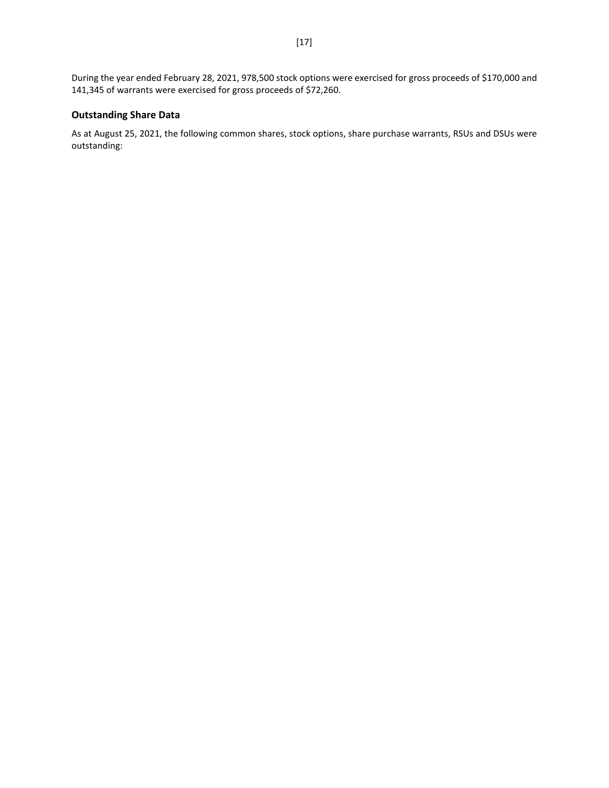During the year ended February 28, 2021, 978,500 stock options were exercised for gross proceeds of \$170,000 and 141,345 of warrants were exercised for gross proceeds of \$72,260.

## **Outstanding Share Data**

As at August 25, 2021, the following common shares, stock options, share purchase warrants, RSUs and DSUs were outstanding: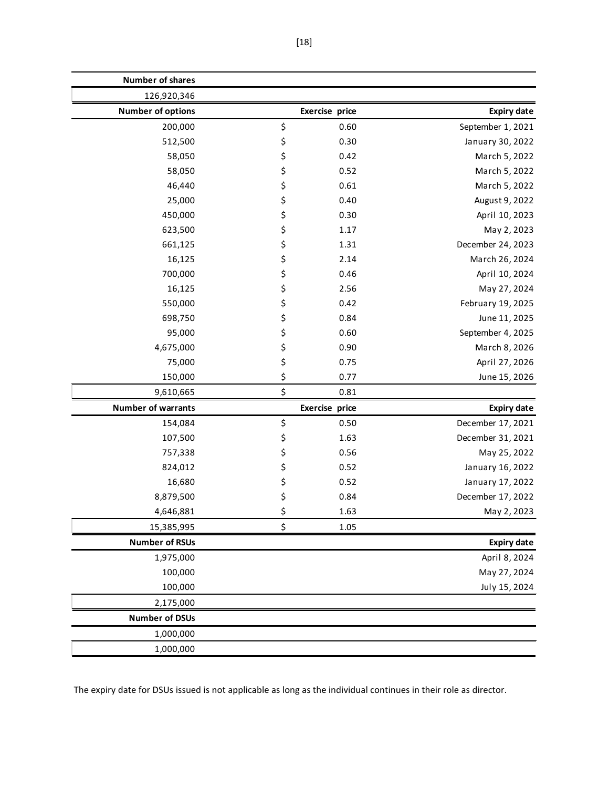| <b>Number of shares</b>   |                |                    |
|---------------------------|----------------|--------------------|
| 126,920,346               |                |                    |
| <b>Number of options</b>  | Exercise price | <b>Expiry date</b> |
| 200,000                   | \$<br>0.60     | September 1, 2021  |
| 512,500                   | \$<br>0.30     | January 30, 2022   |
| 58,050                    | \$<br>0.42     | March 5, 2022      |
| 58,050                    | \$<br>0.52     | March 5, 2022      |
| 46,440                    | \$<br>0.61     | March 5, 2022      |
| 25,000                    | \$<br>0.40     | August 9, 2022     |
| 450,000                   | \$<br>0.30     | April 10, 2023     |
| 623,500                   | \$<br>1.17     | May 2, 2023        |
| 661,125                   | \$<br>1.31     | December 24, 2023  |
| 16,125                    | \$<br>2.14     | March 26, 2024     |
| 700,000                   | \$<br>0.46     | April 10, 2024     |
| 16,125                    | \$<br>2.56     | May 27, 2024       |
| 550,000                   | \$<br>0.42     | February 19, 2025  |
| 698,750                   | \$<br>0.84     | June 11, 2025      |
| 95,000                    | \$<br>0.60     | September 4, 2025  |
| 4,675,000                 | \$<br>0.90     | March 8, 2026      |
| 75,000                    | \$<br>0.75     | April 27, 2026     |
| 150,000                   | \$<br>0.77     | June 15, 2026      |
| 9,610,665                 | \$<br>0.81     |                    |
| <b>Number of warrants</b> | Exercise price | <b>Expiry date</b> |
| 154,084                   | \$<br>0.50     | December 17, 2021  |
| 107,500                   | \$<br>1.63     | December 31, 2021  |
| 757,338                   | \$<br>0.56     | May 25, 2022       |
| 824,012                   | \$<br>0.52     | January 16, 2022   |
| 16,680                    | \$<br>0.52     | January 17, 2022   |
| 8,879,500                 | \$<br>0.84     | December 17, 2022  |
| 4,646,881                 | \$<br>1.63     | May 2, 2023        |
| 15,385,995                | \$<br>1.05     |                    |
| <b>Number of RSUs</b>     |                | <b>Expiry date</b> |
| 1,975,000                 |                | April 8, 2024      |
| 100,000                   |                | May 27, 2024       |
| 100,000                   |                | July 15, 2024      |
| 2,175,000                 |                |                    |
| <b>Number of DSUs</b>     |                |                    |
| 1,000,000                 |                |                    |
| 1,000,000                 |                |                    |

The expiry date for DSUs issued is not applicable as long as the individual continues in their role as director.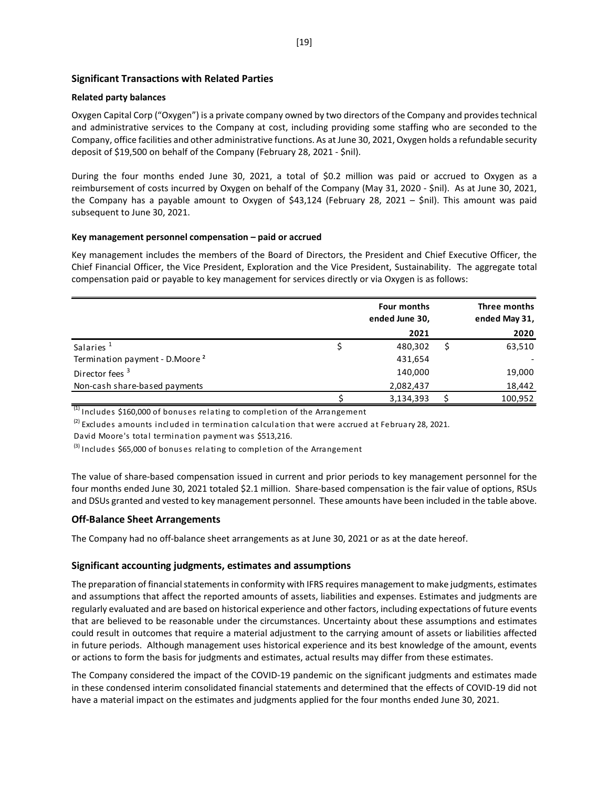## **Significant Transactions with Related Parties**

#### **Related party balances**

Oxygen Capital Corp ("Oxygen") is a private company owned by two directors of the Company and provides technical and administrative services to the Company at cost, including providing some staffing who are seconded to the Company, office facilities and other administrative functions. As at June 30, 2021, Oxygen holds a refundable security deposit of \$19,500 on behalf of the Company (February 28, 2021 - \$nil).

During the four months ended June 30, 2021, a total of \$0.2 million was paid or accrued to Oxygen as a reimbursement of costs incurred by Oxygen on behalf of the Company (May 31, 2020 - \$nil). As at June 30, 2021, the Company has a payable amount to Oxygen of \$43,124 (February 28, 2021 – \$nil). This amount was paid subsequent to June 30, 2021.

#### **Key management personnel compensation – paid or accrued**

Key management includes the members of the Board of Directors, the President and Chief Executive Officer, the Chief Financial Officer, the Vice President, Exploration and the Vice President, Sustainability. The aggregate total compensation paid or payable to key management for services directly or via Oxygen is as follows:

|                                            | Four months<br>ended June 30, |    | Three months<br>ended May 31, |
|--------------------------------------------|-------------------------------|----|-------------------------------|
|                                            | 2021                          |    | 2020                          |
| Salaries <sup>1</sup>                      | 480,302                       | \$ | 63,510                        |
| Termination payment - D.Moore <sup>2</sup> | 431,654                       |    |                               |
| Director fees <sup>3</sup>                 | 140,000                       |    | 19,000                        |
| Non-cash share-based payments              | 2,082,437                     |    | 18,442                        |
|                                            | 3,134,393                     |    | 100,952                       |

 $(1)$  Includes \$160,000 of bonuses relating to completion of the Arrangement

 $^{(2)}$  Excludes amounts included in termination calculation that were accrued at February 28, 2021.

David Moore's total termination payment was \$513,216.

 $^{(3)}$  Includes \$65,000 of bonuses relating to completion of the Arrangement

The value of share-based compensation issued in current and prior periods to key management personnel for the four months ended June 30, 2021 totaled \$2.1 million. Share-based compensation is the fair value of options, RSUs and DSUs granted and vested to key management personnel. These amounts have been included in the table above.

#### **Off-Balance Sheet Arrangements**

The Company had no off-balance sheet arrangements as at June 30, 2021 or as at the date hereof.

#### **Significant accounting judgments, estimates and assumptions**

The preparation of financial statements in conformity with IFRS requires management to make judgments, estimates and assumptions that affect the reported amounts of assets, liabilities and expenses. Estimates and judgments are regularly evaluated and are based on historical experience and other factors, including expectations of future events that are believed to be reasonable under the circumstances. Uncertainty about these assumptions and estimates could result in outcomes that require a material adjustment to the carrying amount of assets or liabilities affected in future periods. Although management uses historical experience and its best knowledge of the amount, events or actions to form the basis for judgments and estimates, actual results may differ from these estimates.

The Company considered the impact of the COVID-19 pandemic on the significant judgments and estimates made in these condensed interim consolidated financial statements and determined that the effects of COVID-19 did not have a material impact on the estimates and judgments applied for the four months ended June 30, 2021.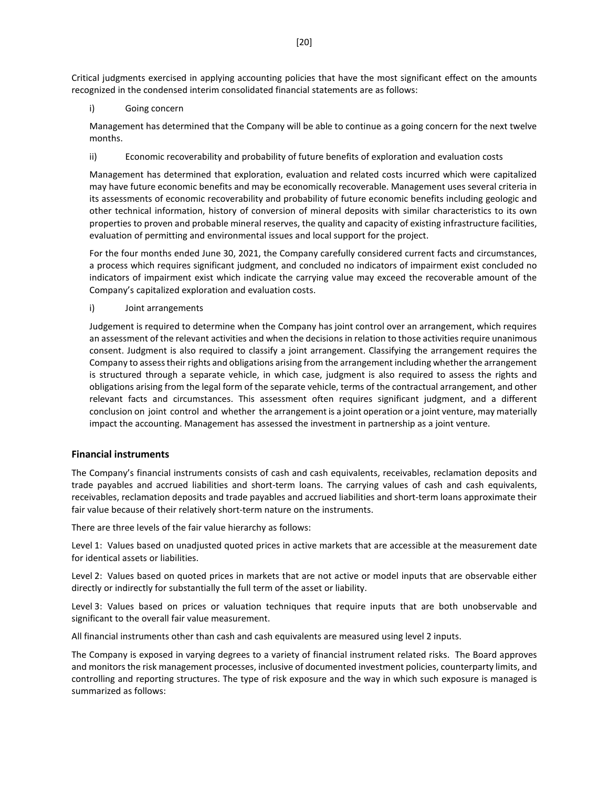Critical judgments exercised in applying accounting policies that have the most significant effect on the amounts recognized in the condensed interim consolidated financial statements are as follows:

i) Going concern

Management has determined that the Company will be able to continue as a going concern for the next twelve months.

ii) Economic recoverability and probability of future benefits of exploration and evaluation costs

Management has determined that exploration, evaluation and related costs incurred which were capitalized may have future economic benefits and may be economically recoverable. Management uses several criteria in its assessments of economic recoverability and probability of future economic benefits including geologic and other technical information, history of conversion of mineral deposits with similar characteristics to its own properties to proven and probable mineral reserves, the quality and capacity of existing infrastructure facilities, evaluation of permitting and environmental issues and local support for the project.

For the four months ended June 30, 2021, the Company carefully considered current facts and circumstances, a process which requires significant judgment, and concluded no indicators of impairment exist concluded no indicators of impairment exist which indicate the carrying value may exceed the recoverable amount of the Company's capitalized exploration and evaluation costs.

i) Joint arrangements

Judgement is required to determine when the Company has joint control over an arrangement, which requires an assessment of the relevant activities and when the decisions in relation to those activities require unanimous consent. Judgment is also required to classify a joint arrangement. Classifying the arrangement requires the Company to assess their rights and obligations arising from the arrangement including whether the arrangement is structured through a separate vehicle, in which case, judgment is also required to assess the rights and obligations arising from the legal form of the separate vehicle, terms of the contractual arrangement, and other relevant facts and circumstances. This assessment often requires significant judgment, and a different conclusion on joint control and whether the arrangement is a joint operation or a joint venture, may materially impact the accounting. Management has assessed the investment in partnership as a joint venture.

## **Financial instruments**

The Company's financial instruments consists of cash and cash equivalents, receivables, reclamation deposits and trade payables and accrued liabilities and short-term loans. The carrying values of cash and cash equivalents, receivables, reclamation deposits and trade payables and accrued liabilities and short-term loans approximate their fair value because of their relatively short-term nature on the instruments.

There are three levels of the fair value hierarchy as follows:

Level 1: Values based on unadjusted quoted prices in active markets that are accessible at the measurement date for identical assets or liabilities.

Level 2: Values based on quoted prices in markets that are not active or model inputs that are observable either directly or indirectly for substantially the full term of the asset or liability.

Level 3: Values based on prices or valuation techniques that require inputs that are both unobservable and significant to the overall fair value measurement.

All financial instruments other than cash and cash equivalents are measured using level 2 inputs.

The Company is exposed in varying degrees to a variety of financial instrument related risks. The Board approves and monitors the risk management processes, inclusive of documented investment policies, counterparty limits, and controlling and reporting structures. The type of risk exposure and the way in which such exposure is managed is summarized as follows: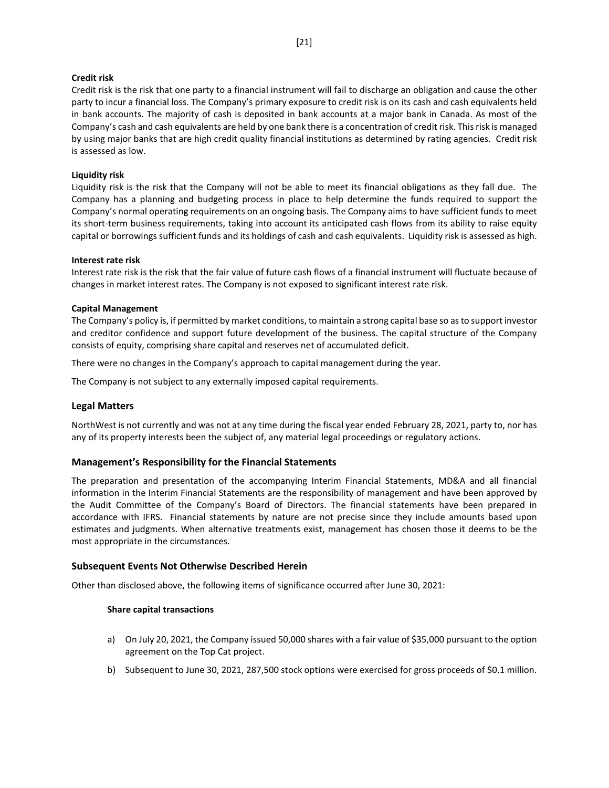#### **Credit risk**

Credit risk is the risk that one party to a financial instrument will fail to discharge an obligation and cause the other party to incur a financial loss. The Company's primary exposure to credit risk is on its cash and cash equivalents held in bank accounts. The majority of cash is deposited in bank accounts at a major bank in Canada. As most of the Company's cash and cash equivalents are held by one bank there is a concentration of credit risk. This risk is managed by using major banks that are high credit quality financial institutions as determined by rating agencies. Credit risk is assessed as low.

## **Liquidity risk**

Liquidity risk is the risk that the Company will not be able to meet its financial obligations as they fall due. The Company has a planning and budgeting process in place to help determine the funds required to support the Company's normal operating requirements on an ongoing basis. The Company aims to have sufficient funds to meet its short-term business requirements, taking into account its anticipated cash flows from its ability to raise equity capital or borrowings sufficient funds and its holdings of cash and cash equivalents. Liquidity risk is assessed as high.

### **Interest rate risk**

Interest rate risk is the risk that the fair value of future cash flows of a financial instrument will fluctuate because of changes in market interest rates. The Company is not exposed to significant interest rate risk.

### **Capital Management**

The Company's policy is, if permitted by market conditions, to maintain a strong capital base so as to support investor and creditor confidence and support future development of the business. The capital structure of the Company consists of equity, comprising share capital and reserves net of accumulated deficit.

There were no changes in the Company's approach to capital management during the year.

The Company is not subject to any externally imposed capital requirements.

## **Legal Matters**

NorthWest is not currently and was not at any time during the fiscal year ended February 28, 2021, party to, nor has any of its property interests been the subject of, any material legal proceedings or regulatory actions.

## **Management's Responsibility for the Financial Statements**

The preparation and presentation of the accompanying Interim Financial Statements, MD&A and all financial information in the Interim Financial Statements are the responsibility of management and have been approved by the Audit Committee of the Company's Board of Directors. The financial statements have been prepared in accordance with IFRS. Financial statements by nature are not precise since they include amounts based upon estimates and judgments. When alternative treatments exist, management has chosen those it deems to be the most appropriate in the circumstances.

## **Subsequent Events Not Otherwise Described Herein**

Other than disclosed above, the following items of significance occurred after June 30, 2021:

#### **Share capital transactions**

- a) On July 20, 2021, the Company issued 50,000 shares with a fair value of \$35,000 pursuant to the option agreement on the Top Cat project.
- b) Subsequent to June 30, 2021, 287,500 stock options were exercised for gross proceeds of \$0.1 million.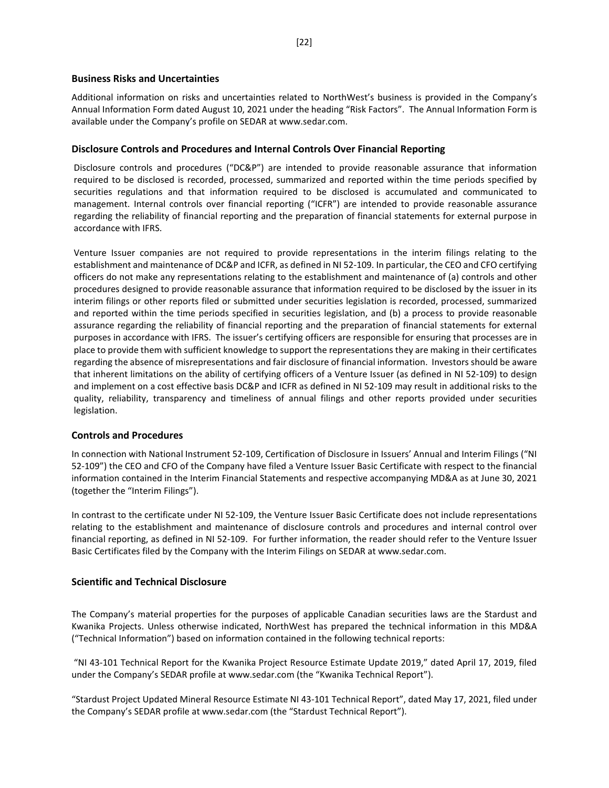### **Business Risks and Uncertainties**

Additional information on risks and uncertainties related to NorthWest's business is provided in the Company's Annual Information Form dated August 10, 2021 under the heading "Risk Factors". The Annual Information Form is available under the Company's profile on SEDAR at www.sedar.com.

### **Disclosure Controls and Procedures and Internal Controls Over Financial Reporting**

Disclosure controls and procedures ("DC&P") are intended to provide reasonable assurance that information required to be disclosed is recorded, processed, summarized and reported within the time periods specified by securities regulations and that information required to be disclosed is accumulated and communicated to management. Internal controls over financial reporting ("ICFR") are intended to provide reasonable assurance regarding the reliability of financial reporting and the preparation of financial statements for external purpose in accordance with IFRS.

Venture Issuer companies are not required to provide representations in the interim filings relating to the establishment and maintenance of DC&P and ICFR, as defined in NI 52-109. In particular, the CEO and CFO certifying officers do not make any representations relating to the establishment and maintenance of (a) controls and other procedures designed to provide reasonable assurance that information required to be disclosed by the issuer in its interim filings or other reports filed or submitted under securities legislation is recorded, processed, summarized and reported within the time periods specified in securities legislation, and (b) a process to provide reasonable assurance regarding the reliability of financial reporting and the preparation of financial statements for external purposes in accordance with IFRS. The issuer's certifying officers are responsible for ensuring that processes are in place to provide them with sufficient knowledge to support the representations they are making in their certificates regarding the absence of misrepresentations and fair disclosure of financial information. Investors should be aware that inherent limitations on the ability of certifying officers of a Venture Issuer (as defined in NI 52-109) to design and implement on a cost effective basis DC&P and ICFR as defined in NI 52-109 may result in additional risks to the quality, reliability, transparency and timeliness of annual filings and other reports provided under securities legislation.

## **Controls and Procedures**

In connection with National Instrument 52-109, Certification of Disclosure in Issuers' Annual and Interim Filings ("NI 52-109") the CEO and CFO of the Company have filed a Venture Issuer Basic Certificate with respect to the financial information contained in the Interim Financial Statements and respective accompanying MD&A as at June 30, 2021 (together the "Interim Filings").

In contrast to the certificate under NI 52-109, the Venture Issuer Basic Certificate does not include representations relating to the establishment and maintenance of disclosure controls and procedures and internal control over financial reporting, as defined in NI 52-109. For further information, the reader should refer to the Venture Issuer Basic Certificates filed by the Company with the Interim Filings on SEDAR at www.sedar.com.

## **Scientific and Technical Disclosure**

The Company's material properties for the purposes of applicable Canadian securities laws are the Stardust and Kwanika Projects. Unless otherwise indicated, NorthWest has prepared the technical information in this MD&A ("Technical Information") based on information contained in the following technical reports:

"NI 43-101 Technical Report for the Kwanika Project Resource Estimate Update 2019," dated April 17, 2019, filed under the Company's SEDAR profile at [www.sedar.com](http://www.sedar.com/) (the "Kwanika Technical Report").

"Stardust Project Updated Mineral Resource Estimate NI 43-101 Technical Report", dated May 17, 2021, filed under the Company's SEDAR profile a[t www.sedar.com](http://www.sedar.com/) (the "Stardust Technical Report").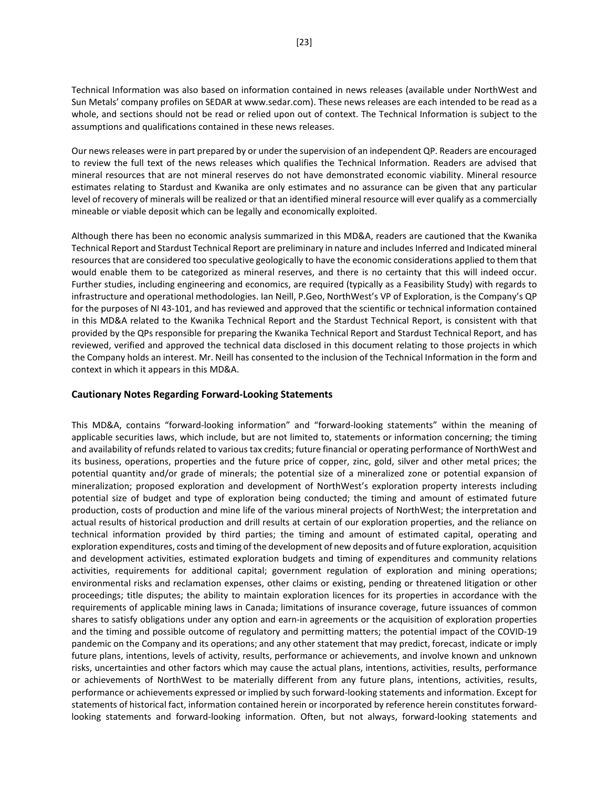Technical Information was also based on information contained in news releases (available under NorthWest and Sun Metals' company profiles on SEDAR at www.sedar.com). These news releases are each intended to be read as a whole, and sections should not be read or relied upon out of context. The Technical Information is subject to the assumptions and qualifications contained in these news releases.

Our news releases were in part prepared by or under the supervision of an independent QP. Readers are encouraged to review the full text of the news releases which qualifies the Technical Information. Readers are advised that mineral resources that are not mineral reserves do not have demonstrated economic viability. Mineral resource estimates relating to Stardust and Kwanika are only estimates and no assurance can be given that any particular level of recovery of minerals will be realized or that an identified mineral resource will ever qualify as a commercially mineable or viable deposit which can be legally and economically exploited.

Although there has been no economic analysis summarized in this MD&A, readers are cautioned that the Kwanika Technical Report and Stardust Technical Report are preliminary in nature and includes Inferred and Indicated mineral resources that are considered too speculative geologically to have the economic considerations applied to them that would enable them to be categorized as mineral reserves, and there is no certainty that this will indeed occur. Further studies, including engineering and economics, are required (typically as a Feasibility Study) with regards to infrastructure and operational methodologies. Ian Neill, P.Geo, NorthWest's VP of Exploration, is the Company's QP for the purposes of NI 43-101, and has reviewed and approved that the scientific or technical information contained in this MD&A related to the Kwanika Technical Report and the Stardust Technical Report, is consistent with that provided by the QPs responsible for preparing the Kwanika Technical Report and Stardust Technical Report, and has reviewed, verified and approved the technical data disclosed in this document relating to those projects in which the Company holds an interest. Mr. Neill has consented to the inclusion of the Technical Information in the form and context in which it appears in this MD&A.

## **Cautionary Notes Regarding Forward-Looking Statements**

This MD&A, contains "forward-looking information" and "forward-looking statements" within the meaning of applicable securities laws, which include, but are not limited to, statements or information concerning; the timing and availability of refunds related to various tax credits; future financial or operating performance of NorthWest and its business, operations, properties and the future price of copper, zinc, gold, silver and other metal prices; the potential quantity and/or grade of minerals; the potential size of a mineralized zone or potential expansion of mineralization; proposed exploration and development of NorthWest's exploration property interests including potential size of budget and type of exploration being conducted; the timing and amount of estimated future production, costs of production and mine life of the various mineral projects of NorthWest; the interpretation and actual results of historical production and drill results at certain of our exploration properties, and the reliance on technical information provided by third parties; the timing and amount of estimated capital, operating and exploration expenditures, costs and timing of the development of new deposits and of future exploration, acquisition and development activities, estimated exploration budgets and timing of expenditures and community relations activities, requirements for additional capital; government regulation of exploration and mining operations; environmental risks and reclamation expenses, other claims or existing, pending or threatened litigation or other proceedings; title disputes; the ability to maintain exploration licences for its properties in accordance with the requirements of applicable mining laws in Canada; limitations of insurance coverage, future issuances of common shares to satisfy obligations under any option and earn-in agreements or the acquisition of exploration properties and the timing and possible outcome of regulatory and permitting matters; the potential impact of the COVID-19 pandemic on the Company and its operations; and any other statement that may predict, forecast, indicate or imply future plans, intentions, levels of activity, results, performance or achievements, and involve known and unknown risks, uncertainties and other factors which may cause the actual plans, intentions, activities, results, performance or achievements of NorthWest to be materially different from any future plans, intentions, activities, results, performance or achievements expressed or implied by such forward-looking statements and information. Except for statements of historical fact, information contained herein or incorporated by reference herein constitutes forwardlooking statements and forward-looking information. Often, but not always, forward-looking statements and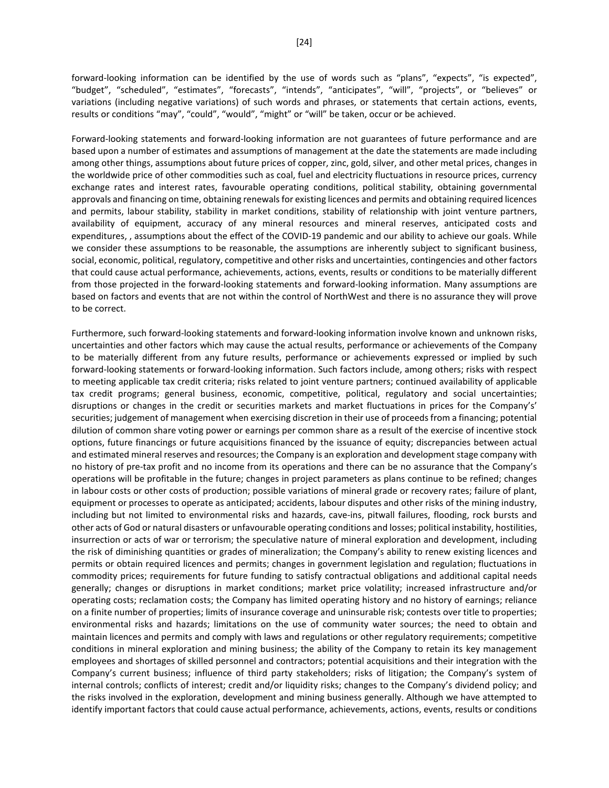forward-looking information can be identified by the use of words such as "plans", "expects", "is expected", "budget", "scheduled", "estimates", "forecasts", "intends", "anticipates", "will", "projects", or "believes" or variations (including negative variations) of such words and phrases, or statements that certain actions, events, results or conditions "may", "could", "would", "might" or "will" be taken, occur or be achieved.

Forward-looking statements and forward-looking information are not guarantees of future performance and are based upon a number of estimates and assumptions of management at the date the statements are made including among other things, assumptions about future prices of copper, zinc, gold, silver, and other metal prices, changes in the worldwide price of other commodities such as coal, fuel and electricity fluctuations in resource prices, currency exchange rates and interest rates, favourable operating conditions, political stability, obtaining governmental approvals and financing on time, obtaining renewals for existing licences and permits and obtaining required licences and permits, labour stability, stability in market conditions, stability of relationship with joint venture partners, availability of equipment, accuracy of any mineral resources and mineral reserves, anticipated costs and expenditures, , assumptions about the effect of the COVID-19 pandemic and our ability to achieve our goals. While we consider these assumptions to be reasonable, the assumptions are inherently subject to significant business, social, economic, political, regulatory, competitive and other risks and uncertainties, contingencies and other factors that could cause actual performance, achievements, actions, events, results or conditions to be materially different from those projected in the forward-looking statements and forward-looking information. Many assumptions are based on factors and events that are not within the control of NorthWest and there is no assurance they will prove to be correct.

Furthermore, such forward-looking statements and forward-looking information involve known and unknown risks, uncertainties and other factors which may cause the actual results, performance or achievements of the Company to be materially different from any future results, performance or achievements expressed or implied by such forward-looking statements or forward-looking information. Such factors include, among others; risks with respect to meeting applicable tax credit criteria; risks related to joint venture partners; continued availability of applicable tax credit programs; general business, economic, competitive, political, regulatory and social uncertainties; disruptions or changes in the credit or securities markets and market fluctuations in prices for the Company's' securities; judgement of management when exercising discretion in their use of proceeds from a financing; potential dilution of common share voting power or earnings per common share as a result of the exercise of incentive stock options, future financings or future acquisitions financed by the issuance of equity; discrepancies between actual and estimated mineral reserves and resources; the Company is an exploration and development stage company with no history of pre-tax profit and no income from its operations and there can be no assurance that the Company's operations will be profitable in the future; changes in project parameters as plans continue to be refined; changes in labour costs or other costs of production; possible variations of mineral grade or recovery rates; failure of plant, equipment or processes to operate as anticipated; accidents, labour disputes and other risks of the mining industry, including but not limited to environmental risks and hazards, cave-ins, pitwall failures, flooding, rock bursts and other acts of God or natural disasters or unfavourable operating conditions and losses; political instability, hostilities, insurrection or acts of war or terrorism; the speculative nature of mineral exploration and development, including the risk of diminishing quantities or grades of mineralization; the Company's ability to renew existing licences and permits or obtain required licences and permits; changes in government legislation and regulation; fluctuations in commodity prices; requirements for future funding to satisfy contractual obligations and additional capital needs generally; changes or disruptions in market conditions; market price volatility; increased infrastructure and/or operating costs; reclamation costs; the Company has limited operating history and no history of earnings; reliance on a finite number of properties; limits of insurance coverage and uninsurable risk; contests over title to properties; environmental risks and hazards; limitations on the use of community water sources; the need to obtain and maintain licences and permits and comply with laws and regulations or other regulatory requirements; competitive conditions in mineral exploration and mining business; the ability of the Company to retain its key management employees and shortages of skilled personnel and contractors; potential acquisitions and their integration with the Company's current business; influence of third party stakeholders; risks of litigation; the Company's system of internal controls; conflicts of interest; credit and/or liquidity risks; changes to the Company's dividend policy; and the risks involved in the exploration, development and mining business generally. Although we have attempted to identify important factors that could cause actual performance, achievements, actions, events, results or conditions